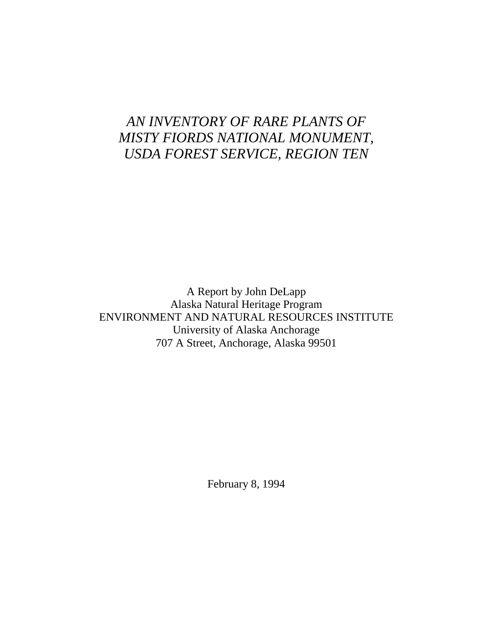# *AN INVENTORY OF RARE PLANTS OF MISTY FIORDS NATIONAL MONUMENT, USDA FOREST SERVICE, REGION TEN*

A Report by John DeLapp Alaska Natural Heritage Program ENVIRONMENT AND NATURAL RESOURCES INSTITUTE University of Alaska Anchorage 707 A Street, Anchorage, Alaska 99501

February 8, 1994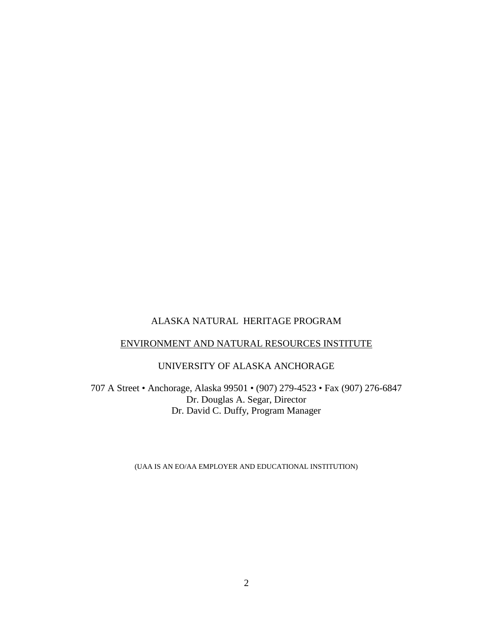# ALASKA NATURAL HERITAGE PROGRAM

# ENVIRONMENT AND NATURAL RESOURCES INSTITUTE

# UNIVERSITY OF ALASKA ANCHORAGE

707 A Street • Anchorage, Alaska 99501 • (907) 279-4523 • Fax (907) 276-6847 Dr. Douglas A. Segar, Director Dr. David C. Duffy, Program Manager

(UAA IS AN EO/AA EMPLOYER AND EDUCATIONAL INSTITUTION)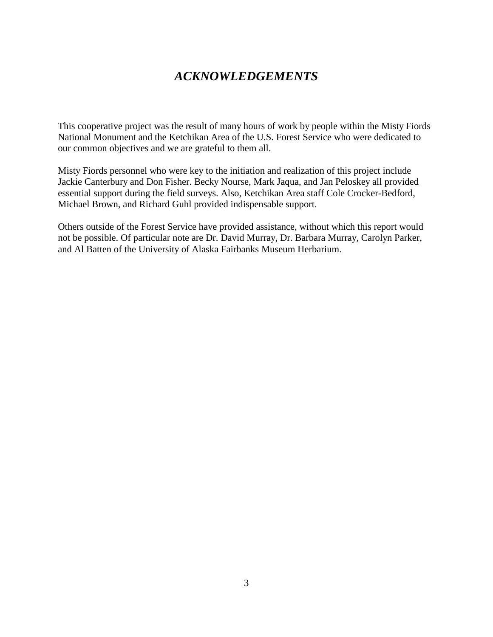# *ACKNOWLEDGEMENTS*

This cooperative project was the result of many hours of work by people within the Misty Fiords National Monument and the Ketchikan Area of the U.S. Forest Service who were dedicated to our common objectives and we are grateful to them all.

Misty Fiords personnel who were key to the initiation and realization of this project include Jackie Canterbury and Don Fisher. Becky Nourse, Mark Jaqua, and Jan Peloskey all provided essential support during the field surveys. Also, Ketchikan Area staff Cole Crocker-Bedford, Michael Brown, and Richard Guhl provided indispensable support.

Others outside of the Forest Service have provided assistance, without which this report would not be possible. Of particular note are Dr. David Murray, Dr. Barbara Murray, Carolyn Parker, and Al Batten of the University of Alaska Fairbanks Museum Herbarium.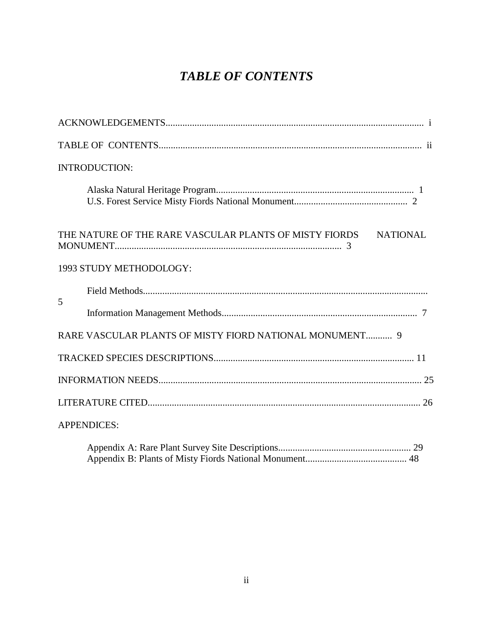# *TABLE OF CONTENTS*

|   | <b>INTRODUCTION:</b>                                                      |
|---|---------------------------------------------------------------------------|
|   |                                                                           |
|   | THE NATURE OF THE RARE VASCULAR PLANTS OF MISTY FIORDS<br><b>NATIONAL</b> |
|   | 1993 STUDY METHODOLOGY:                                                   |
|   |                                                                           |
| 5 |                                                                           |
|   | RARE VASCULAR PLANTS OF MISTY FIORD NATIONAL MONUMENT 9                   |
|   |                                                                           |
|   |                                                                           |
|   |                                                                           |
|   | <b>APPENDICES:</b>                                                        |
|   |                                                                           |

Appendix B: Plants of Misty Fiords National Monument.......................................... 48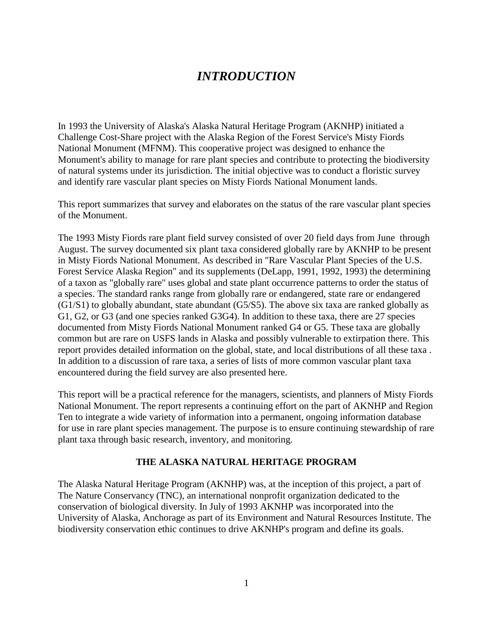# *INTRODUCTION*

In 1993 the University of Alaska's Alaska Natural Heritage Program (AKNHP) initiated a Challenge Cost-Share project with the Alaska Region of the Forest Service's Misty Fiords National Monument (MFNM). This cooperative project was designed to enhance the Monument's ability to manage for rare plant species and contribute to protecting the biodiversity of natural systems under its jurisdiction. The initial objective was to conduct a floristic survey and identify rare vascular plant species on Misty Fiords National Monument lands.

This report summarizes that survey and elaborates on the status of the rare vascular plant species of the Monument.

The 1993 Misty Fiords rare plant field survey consisted of over 20 field days from June through August. The survey documented six plant taxa considered globally rare by AKNHP to be present in Misty Fiords National Monument. As described in "Rare Vascular Plant Species of the U.S. Forest Service Alaska Region" and its supplements (DeLapp, 1991, 1992, 1993) the determining of a taxon as "globally rare" uses global and state plant occurrence patterns to order the status of a species. The standard ranks range from globally rare or endangered, state rare or endangered (G1/S1) to globally abundant, state abundant (G5/S5). The above six taxa are ranked globally as G1, G2, or G3 (and one species ranked G3G4). In addition to these taxa, there are 27 species documented from Misty Fiords National Monument ranked G4 or G5. These taxa are globally common but are rare on USFS lands in Alaska and possibly vulnerable to extirpation there. This report provides detailed information on the global, state, and local distributions of all these taxa . In addition to a discussion of rare taxa, a series of lists of more common vascular plant taxa encountered during the field survey are also presented here.

This report will be a practical reference for the managers, scientists, and planners of Misty Fiords National Monument. The report represents a continuing effort on the part of AKNHP and Region Ten to integrate a wide variety of information into a permanent, ongoing information database for use in rare plant species management. The purpose is to ensure continuing stewardship of rare plant taxa through basic research, inventory, and monitoring.

### **THE ALASKA NATURAL HERITAGE PROGRAM**

The Alaska Natural Heritage Program (AKNHP) was, at the inception of this project, a part of The Nature Conservancy (TNC), an international nonprofit organization dedicated to the conservation of biological diversity. In July of 1993 AKNHP was incorporated into the University of Alaska, Anchorage as part of its Environment and Natural Resources Institute. The biodiversity conservation ethic continues to drive AKNHP's program and define its goals.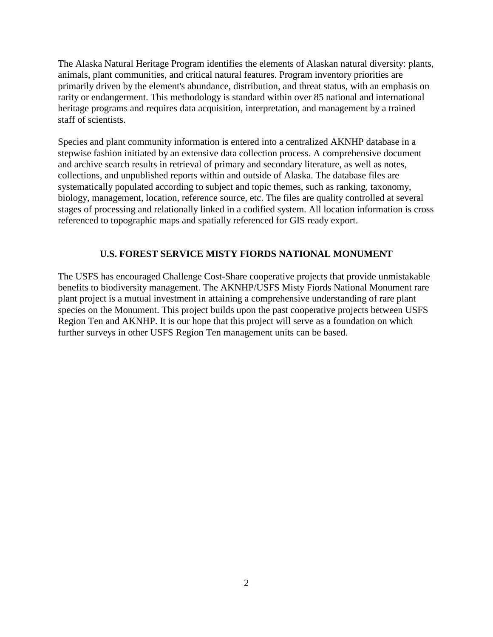The Alaska Natural Heritage Program identifies the elements of Alaskan natural diversity: plants, animals, plant communities, and critical natural features. Program inventory priorities are primarily driven by the element's abundance, distribution, and threat status, with an emphasis on rarity or endangerment. This methodology is standard within over 85 national and international heritage programs and requires data acquisition, interpretation, and management by a trained staff of scientists.

Species and plant community information is entered into a centralized AKNHP database in a stepwise fashion initiated by an extensive data collection process. A comprehensive document and archive search results in retrieval of primary and secondary literature, as well as notes, collections, and unpublished reports within and outside of Alaska. The database files are systematically populated according to subject and topic themes, such as ranking, taxonomy, biology, management, location, reference source, etc. The files are quality controlled at several stages of processing and relationally linked in a codified system. All location information is cross referenced to topographic maps and spatially referenced for GIS ready export.

# **U.S. FOREST SERVICE MISTY FIORDS NATIONAL MONUMENT**

The USFS has encouraged Challenge Cost-Share cooperative projects that provide unmistakable benefits to biodiversity management. The AKNHP/USFS Misty Fiords National Monument rare plant project is a mutual investment in attaining a comprehensive understanding of rare plant species on the Monument. This project builds upon the past cooperative projects between USFS Region Ten and AKNHP. It is our hope that this project will serve as a foundation on which further surveys in other USFS Region Ten management units can be based.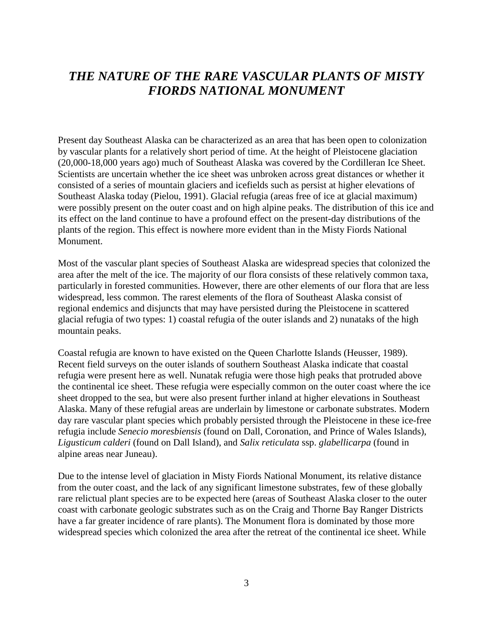# *THE NATURE OF THE RARE VASCULAR PLANTS OF MISTY FIORDS NATIONAL MONUMENT*

Present day Southeast Alaska can be characterized as an area that has been open to colonization by vascular plants for a relatively short period of time. At the height of Pleistocene glaciation (20,000-18,000 years ago) much of Southeast Alaska was covered by the Cordilleran Ice Sheet. Scientists are uncertain whether the ice sheet was unbroken across great distances or whether it consisted of a series of mountain glaciers and icefields such as persist at higher elevations of Southeast Alaska today (Pielou, 1991). Glacial refugia (areas free of ice at glacial maximum) were possibly present on the outer coast and on high alpine peaks. The distribution of this ice and its effect on the land continue to have a profound effect on the present-day distributions of the plants of the region. This effect is nowhere more evident than in the Misty Fiords National Monument.

Most of the vascular plant species of Southeast Alaska are widespread species that colonized the area after the melt of the ice. The majority of our flora consists of these relatively common taxa, particularly in forested communities. However, there are other elements of our flora that are less widespread, less common. The rarest elements of the flora of Southeast Alaska consist of regional endemics and disjuncts that may have persisted during the Pleistocene in scattered glacial refugia of two types: 1) coastal refugia of the outer islands and 2) nunataks of the high mountain peaks.

Coastal refugia are known to have existed on the Queen Charlotte Islands (Heusser, 1989). Recent field surveys on the outer islands of southern Southeast Alaska indicate that coastal refugia were present here as well. Nunatak refugia were those high peaks that protruded above the continental ice sheet. These refugia were especially common on the outer coast where the ice sheet dropped to the sea, but were also present further inland at higher elevations in Southeast Alaska. Many of these refugial areas are underlain by limestone or carbonate substrates. Modern day rare vascular plant species which probably persisted through the Pleistocene in these ice-free refugia include *Senecio moresbiensis* (found on Dall, Coronation, and Prince of Wales Islands), *Ligusticum calderi* (found on Dall Island), and *Salix reticulata* ssp. *glabellicarpa* (found in alpine areas near Juneau).

Due to the intense level of glaciation in Misty Fiords National Monument, its relative distance from the outer coast, and the lack of any significant limestone substrates, few of these globally rare relictual plant species are to be expected here (areas of Southeast Alaska closer to the outer coast with carbonate geologic substrates such as on the Craig and Thorne Bay Ranger Districts have a far greater incidence of rare plants). The Monument flora is dominated by those more widespread species which colonized the area after the retreat of the continental ice sheet. While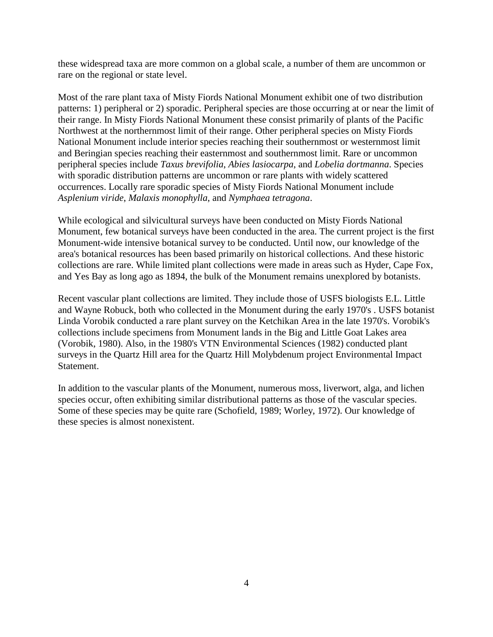these widespread taxa are more common on a global scale, a number of them are uncommon or rare on the regional or state level.

Most of the rare plant taxa of Misty Fiords National Monument exhibit one of two distribution patterns: 1) peripheral or 2) sporadic. Peripheral species are those occurring at or near the limit of their range. In Misty Fiords National Monument these consist primarily of plants of the Pacific Northwest at the northernmost limit of their range. Other peripheral species on Misty Fiords National Monument include interior species reaching their southernmost or westernmost limit and Beringian species reaching their easternmost and southernmost limit. Rare or uncommon peripheral species include *Taxus brevifolia*, *Abies lasiocarpa*, and *Lobelia dortmanna*. Species with sporadic distribution patterns are uncommon or rare plants with widely scattered occurrences. Locally rare sporadic species of Misty Fiords National Monument include *Asplenium viride*, *Malaxis monophylla*, and *Nymphaea tetragona*.

While ecological and silvicultural surveys have been conducted on Misty Fiords National Monument, few botanical surveys have been conducted in the area. The current project is the first Monument-wide intensive botanical survey to be conducted. Until now, our knowledge of the area's botanical resources has been based primarily on historical collections. And these historic collections are rare. While limited plant collections were made in areas such as Hyder, Cape Fox, and Yes Bay as long ago as 1894, the bulk of the Monument remains unexplored by botanists.

Recent vascular plant collections are limited. They include those of USFS biologists E.L. Little and Wayne Robuck, both who collected in the Monument during the early 1970's . USFS botanist Linda Vorobik conducted a rare plant survey on the Ketchikan Area in the late 1970's. Vorobik's collections include specimens from Monument lands in the Big and Little Goat Lakes area (Vorobik, 1980). Also, in the 1980's VTN Environmental Sciences (1982) conducted plant surveys in the Quartz Hill area for the Quartz Hill Molybdenum project Environmental Impact Statement.

In addition to the vascular plants of the Monument, numerous moss, liverwort, alga, and lichen species occur, often exhibiting similar distributional patterns as those of the vascular species. Some of these species may be quite rare (Schofield, 1989; Worley, 1972). Our knowledge of these species is almost nonexistent.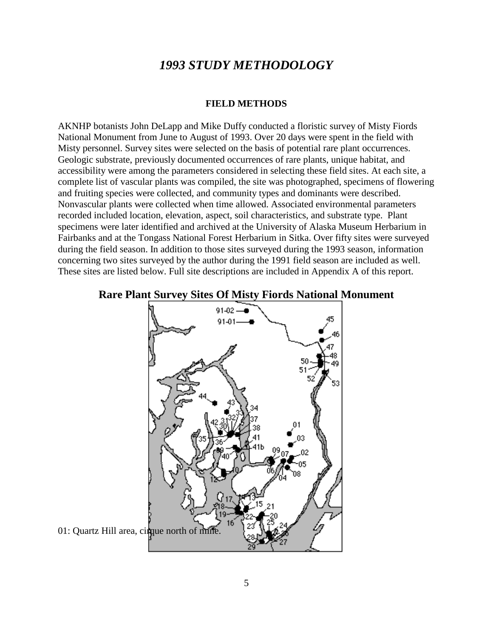# *1993 STUDY METHODOLOGY*

#### **FIELD METHODS**

AKNHP botanists John DeLapp and Mike Duffy conducted a floristic survey of Misty Fiords National Monument from June to August of 1993. Over 20 days were spent in the field with Misty personnel. Survey sites were selected on the basis of potential rare plant occurrences. Geologic substrate, previously documented occurrences of rare plants, unique habitat, and accessibility were among the parameters considered in selecting these field sites. At each site, a complete list of vascular plants was compiled, the site was photographed, specimens of flowering and fruiting species were collected, and community types and dominants were described. Nonvascular plants were collected when time allowed. Associated environmental parameters recorded included location, elevation, aspect, soil characteristics, and substrate type. Plant specimens were later identified and archived at the University of Alaska Museum Herbarium in Fairbanks and at the Tongass National Forest Herbarium in Sitka. Over fifty sites were surveyed during the field season. In addition to those sites surveyed during the 1993 season, information concerning two sites surveyed by the author during the 1991 field season are included as well. These sites are listed below. Full site descriptions are included in Appendix A of this report.



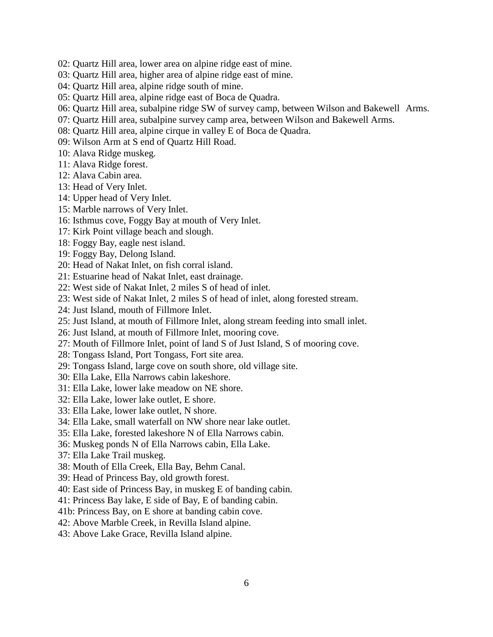- 02: Quartz Hill area, lower area on alpine ridge east of mine.
- 03: Quartz Hill area, higher area of alpine ridge east of mine.
- 04: Quartz Hill area, alpine ridge south of mine.
- 05: Quartz Hill area, alpine ridge east of Boca de Quadra.
- 06: Quartz Hill area, subalpine ridge SW of survey camp, between Wilson and Bakewell Arms.
- 07: Quartz Hill area, subalpine survey camp area, between Wilson and Bakewell Arms.
- 08: Quartz Hill area, alpine cirque in valley E of Boca de Quadra.
- 09: Wilson Arm at S end of Quartz Hill Road.
- 10: Alava Ridge muskeg.
- 11: Alava Ridge forest.
- 12: Alava Cabin area.
- 13: Head of Very Inlet.
- 14: Upper head of Very Inlet.
- 15: Marble narrows of Very Inlet.
- 16: Isthmus cove, Foggy Bay at mouth of Very Inlet.
- 17: Kirk Point village beach and slough.
- 18: Foggy Bay, eagle nest island.
- 19: Foggy Bay, Delong Island.
- 20: Head of Nakat Inlet, on fish corral island.
- 21: Estuarine head of Nakat Inlet, east drainage.
- 22: West side of Nakat Inlet, 2 miles S of head of inlet.
- 23: West side of Nakat Inlet, 2 miles S of head of inlet, along forested stream.
- 24: Just Island, mouth of Fillmore Inlet.
- 25: Just Island, at mouth of Fillmore Inlet, along stream feeding into small inlet.
- 26: Just Island, at mouth of Fillmore Inlet, mooring cove.
- 27: Mouth of Fillmore Inlet, point of land S of Just Island, S of mooring cove.
- 28: Tongass Island, Port Tongass, Fort site area.
- 29: Tongass Island, large cove on south shore, old village site.
- 30: Ella Lake, Ella Narrows cabin lakeshore.
- 31: Ella Lake, lower lake meadow on NE shore.
- 32: Ella Lake, lower lake outlet, E shore.
- 33: Ella Lake, lower lake outlet, N shore.
- 34: Ella Lake, small waterfall on NW shore near lake outlet.
- 35: Ella Lake, forested lakeshore N of Ella Narrows cabin.
- 36: Muskeg ponds N of Ella Narrows cabin, Ella Lake.
- 37: Ella Lake Trail muskeg.
- 38: Mouth of Ella Creek, Ella Bay, Behm Canal.
- 39: Head of Princess Bay, old growth forest.
- 40: East side of Princess Bay, in muskeg E of banding cabin.
- 41: Princess Bay lake, E side of Bay, E of banding cabin.
- 41b: Princess Bay, on E shore at banding cabin cove.
- 42: Above Marble Creek, in Revilla Island alpine.
- 43: Above Lake Grace, Revilla Island alpine.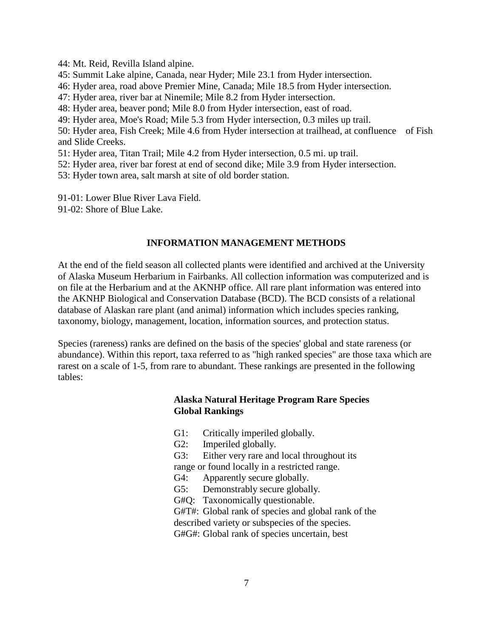- 44: Mt. Reid, Revilla Island alpine.
- 45: Summit Lake alpine, Canada, near Hyder; Mile 23.1 from Hyder intersection.
- 46: Hyder area, road above Premier Mine, Canada; Mile 18.5 from Hyder intersection.
- 47: Hyder area, river bar at Ninemile; Mile 8.2 from Hyder intersection.
- 48: Hyder area, beaver pond; Mile 8.0 from Hyder intersection, east of road.
- 49: Hyder area, Moe's Road; Mile 5.3 from Hyder intersection, 0.3 miles up trail.

50: Hyder area, Fish Creek; Mile 4.6 from Hyder intersection at trailhead, at confluence of Fish and Slide Creeks.

- 51: Hyder area, Titan Trail; Mile 4.2 from Hyder intersection, 0.5 mi. up trail.
- 52: Hyder area, river bar forest at end of second dike; Mile 3.9 from Hyder intersection.
- 53: Hyder town area, salt marsh at site of old border station.
- 91-01: Lower Blue River Lava Field.
- 91-02: Shore of Blue Lake.

# **INFORMATION MANAGEMENT METHODS**

At the end of the field season all collected plants were identified and archived at the University of Alaska Museum Herbarium in Fairbanks. All collection information was computerized and is on file at the Herbarium and at the AKNHP office. All rare plant information was entered into the AKNHP Biological and Conservation Database (BCD). The BCD consists of a relational database of Alaskan rare plant (and animal) information which includes species ranking, taxonomy, biology, management, location, information sources, and protection status.

Species (rareness) ranks are defined on the basis of the species' global and state rareness (or abundance). Within this report, taxa referred to as "high ranked species" are those taxa which are rarest on a scale of 1-5, from rare to abundant. These rankings are presented in the following tables:

# **Alaska Natural Heritage Program Rare Species Global Rankings**

- G1: Critically imperiled globally.
- G2: Imperiled globally.
- G3: Either very rare and local throughout its range or found locally in a restricted range.
- 
- G4: Apparently secure globally.
- G5: Demonstrably secure globally.

G#Q: Taxonomically questionable.

G#T#: Global rank of species and global rank of the described variety or subspecies of the species.

G#G#: Global rank of species uncertain, best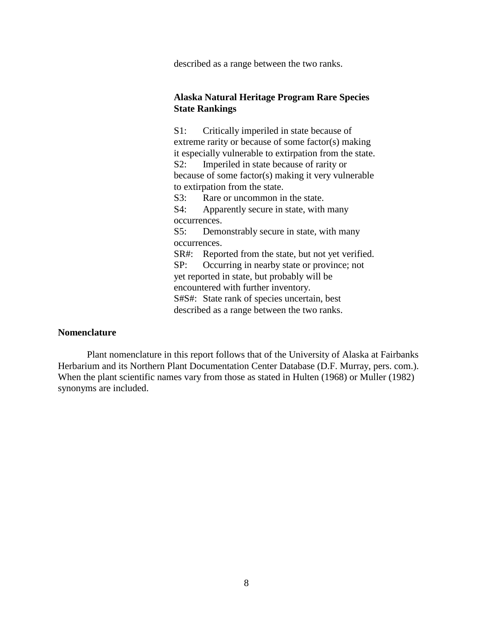described as a range between the two ranks.

# **Alaska Natural Heritage Program Rare Species State Rankings**

S1: Critically imperiled in state because of extreme rarity or because of some factor(s) making it especially vulnerable to extirpation from the state. S2: Imperiled in state because of rarity or because of some factor(s) making it very vulnerable to extirpation from the state. S3: Rare or uncommon in the state.

S4: Apparently secure in state, with many occurrences.

S5: Demonstrably secure in state, with many occurrences.

SR#: Reported from the state, but not yet verified. SP: Occurring in nearby state or province; not yet reported in state, but probably will be encountered with further inventory.

S#S#: State rank of species uncertain, best described as a range between the two ranks.

#### **Nomenclature**

Plant nomenclature in this report follows that of the University of Alaska at Fairbanks Herbarium and its Northern Plant Documentation Center Database (D.F. Murray, pers. com.). When the plant scientific names vary from those as stated in Hulten (1968) or Muller (1982) synonyms are included.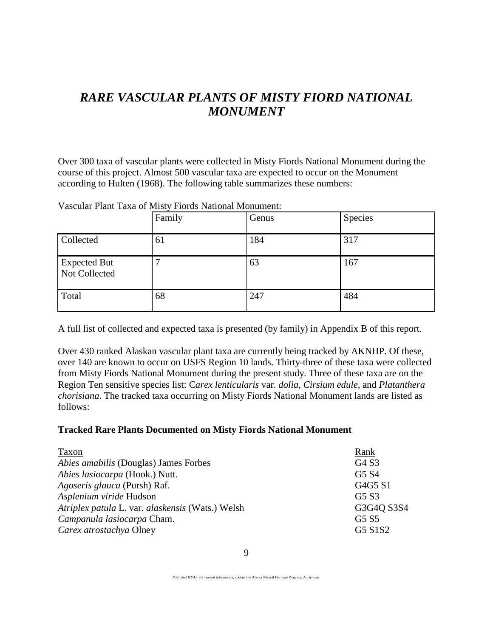# *RARE VASCULAR PLANTS OF MISTY FIORD NATIONAL MONUMENT*

Over 300 taxa of vascular plants were collected in Misty Fiords National Monument during the course of this project. Almost 500 vascular taxa are expected to occur on the Monument according to Hulten (1968). The following table summarizes these numbers:

|                                      | Family | Genus | Species |
|--------------------------------------|--------|-------|---------|
| Collected                            | 61     | 184   | 317     |
| <b>Expected But</b><br>Not Collected |        | 63    | 167     |
| Total                                | 68     | 247   | 484     |

Vascular Plant Taxa of Misty Fiords National Monument:

A full list of collected and expected taxa is presented (by family) in Appendix B of this report.

Over 430 ranked Alaskan vascular plant taxa are currently being tracked by AKNHP. Of these, over 140 are known to occur on USFS Region 10 lands. Thirty-three of these taxa were collected from Misty Fiords National Monument during the present study. Three of these taxa are on the Region Ten sensitive species list: C*arex lenticularis* var. *dolia*, *Cirsium edule*, and *Platanthera chorisiana*. The tracked taxa occurring on Misty Fiords National Monument lands are listed as follows:

# **Tracked Rare Plants Documented on Misty Fiords National Monument**

| Taxon                                            | Rank                          |
|--------------------------------------------------|-------------------------------|
| <i>Abies amabilis</i> (Douglas) James Forbes     | G4 S3                         |
| Abies lasiocarpa (Hook.) Nutt.                   | G <sub>5</sub> S <sub>4</sub> |
| Agoseris glauca (Pursh) Raf.                     | G4G5 S1                       |
| Asplenium viride Hudson                          | G <sub>5</sub> S <sub>3</sub> |
| Atriplex patula L. var. alaskensis (Wats.) Welsh | G3G4Q S3S4                    |
| Campanula lasiocarpa Cham.                       | G <sub>5</sub> S <sub>5</sub> |
| Carex atrostachya Olney                          | G5 S1S2                       |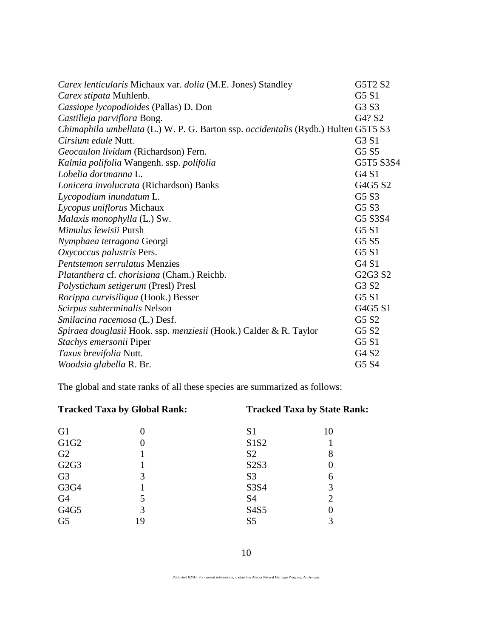| Carex lenticularis Michaux var. dolia (M.E. Jones) Standley                        | G5T2 S2                       |
|------------------------------------------------------------------------------------|-------------------------------|
| Carex stipata Muhlenb.                                                             | G <sub>5</sub> S <sub>1</sub> |
| Cassiope lycopodioides (Pallas) D. Don                                             | G <sub>3</sub> S <sub>3</sub> |
| Castilleja parviflora Bong.                                                        | G4? S2                        |
| Chimaphila umbellata (L.) W. P. G. Barton ssp. occidentalis (Rydb.) Hulten G5T5 S3 |                               |
| <i>Cirsium edule</i> Nutt.                                                         | G3 S1                         |
| Geocaulon lividum (Richardson) Fern.                                               | G5 S5                         |
| Kalmia polifolia Wangenh. ssp. polifolia                                           | G5T5 S3S4                     |
| Lobelia dortmanna L.                                                               | G4S1                          |
| Lonicera involucrata (Richardson) Banks                                            | G4G5 S2                       |
| Lycopodium inundatum L.                                                            | G5 S3                         |
| Lycopus uniflorus Michaux                                                          | G5 S3                         |
| Malaxis monophylla (L.) Sw.                                                        | G5 S3S4                       |
| Mimulus lewisii Pursh                                                              | G5 S1                         |
| Nymphaea tetragona Georgi                                                          | G5 S5                         |
| Oxycoccus palustris Pers.                                                          | G <sub>5</sub> S <sub>1</sub> |
| <b>Pentstemon serrulatus Menzies</b>                                               | G4S1                          |
| Platanthera cf. chorisiana (Cham.) Reichb.                                         | G2G3 S2                       |
| Polystichum setigerum (Presl) Presl                                                | G3 S2                         |
| Rorippa curvisiliqua (Hook.) Besser                                                | G5S1                          |
| Scirpus subterminalis Nelson                                                       | G4G5 S1                       |
| Smilacina racemosa (L.) Desf.                                                      | G5 S2                         |
| Spiraea douglasii Hook. ssp. menziesii (Hook.) Calder & R. Taylor                  | G5 S2                         |
| Stachys emersonii Piper                                                            | G <sub>5</sub> S <sub>1</sub> |
| Taxus brevifolia Nutt.                                                             | G4 S2                         |
| Woodsia glabella R. Br.                                                            | G5 S4                         |

The global and state ranks of all these species are summarized as follows:

# **Tracked Taxa by Global Rank: Tracked Taxa by State Rank:**

| G <sub>1</sub>    | 0  | S <sub>1</sub> |                |
|-------------------|----|----------------|----------------|
| G1G <sub>2</sub>  | 0  | S1S2           |                |
| G2                |    | S <sub>2</sub> | 8              |
| G <sub>2G</sub> 3 |    | S2S3           |                |
| G <sub>3</sub>    | 3  | S <sub>3</sub> | 6              |
| G3G4              |    | S3S4           | 3              |
| G <sub>4</sub>    | 5  | <b>S4</b>      | $\overline{2}$ |
| G4G5              | 3  | S4S5           |                |
| G <sub>5</sub>    | 19 | S <sub>5</sub> | 3              |

Published 02/93. For current information, contact the Alaska Natural Heritage Program, Anchorage.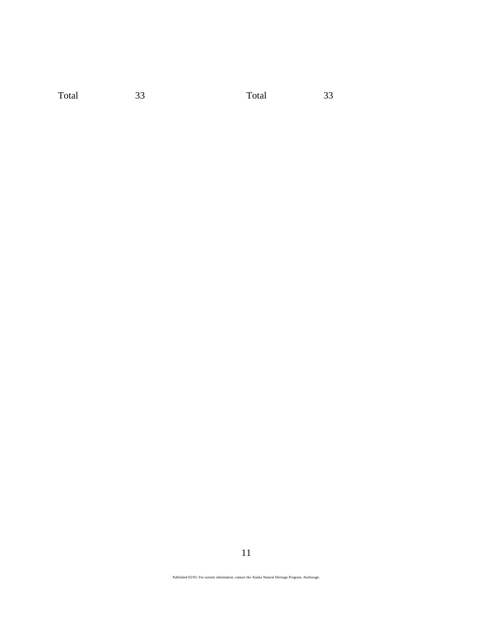Total 33 Total 33

11

Published 02/93. For current information, contact the Alaska Natural Heritage Program, Anchorage.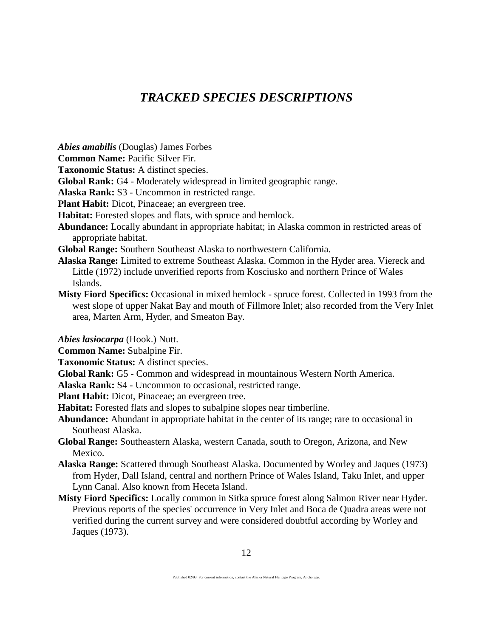# *TRACKED SPECIES DESCRIPTIONS*

*Abies amabilis* (Douglas) James Forbes

**Common Name:** Pacific Silver Fir.

**Taxonomic Status:** A distinct species.

**Global Rank:** G4 - Moderately widespread in limited geographic range.

**Alaska Rank:** S3 - Uncommon in restricted range.

**Plant Habit:** Dicot, Pinaceae; an evergreen tree.

**Habitat:** Forested slopes and flats, with spruce and hemlock.

**Abundance:** Locally abundant in appropriate habitat; in Alaska common in restricted areas of appropriate habitat.

**Global Range:** Southern Southeast Alaska to northwestern California.

- **Alaska Range:** Limited to extreme Southeast Alaska. Common in the Hyder area. Viereck and Little (1972) include unverified reports from Kosciusko and northern Prince of Wales Islands.
- **Misty Fiord Specifics:** Occasional in mixed hemlock spruce forest. Collected in 1993 from the west slope of upper Nakat Bay and mouth of Fillmore Inlet; also recorded from the Very Inlet area, Marten Arm, Hyder, and Smeaton Bay.

*Abies lasiocarpa* (Hook.) Nutt.

**Common Name:** Subalpine Fir.

**Taxonomic Status:** A distinct species.

**Global Rank:** G5 - Common and widespread in mountainous Western North America.

**Alaska Rank:** S4 - Uncommon to occasional, restricted range.

**Plant Habit:** Dicot, Pinaceae; an evergreen tree.

**Habitat:** Forested flats and slopes to subalpine slopes near timberline.

**Abundance:** Abundant in appropriate habitat in the center of its range; rare to occasional in Southeast Alaska.

**Global Range:** Southeastern Alaska, western Canada, south to Oregon, Arizona, and New Mexico.

- **Alaska Range:** Scattered through Southeast Alaska. Documented by Worley and Jaques (1973) from Hyder, Dall Island, central and northern Prince of Wales Island, Taku Inlet, and upper Lynn Canal. Also known from Heceta Island.
- **Misty Fiord Specifics:** Locally common in Sitka spruce forest along Salmon River near Hyder. Previous reports of the species' occurrence in Very Inlet and Boca de Quadra areas were not verified during the current survey and were considered doubtful according by Worley and Jaques (1973).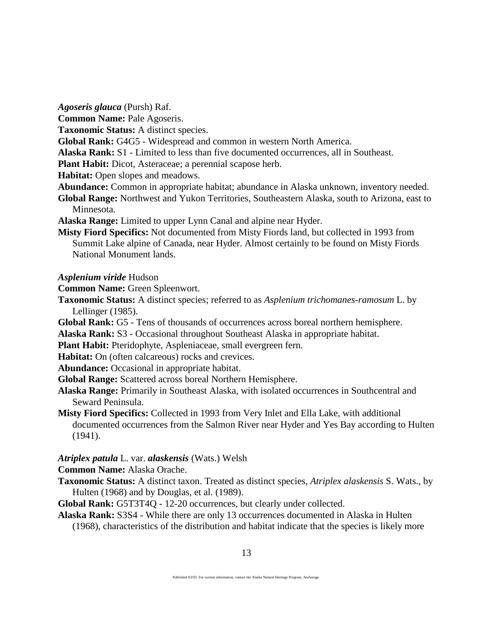*Agoseris glauca* (Pursh) Raf.

- **Common Name:** Pale Agoseris.
- **Taxonomic Status:** A distinct species.
- **Global Rank:** G4G5 Widespread and common in western North America.
- **Alaska Rank:** S1 Limited to less than five documented occurrences, all in Southeast.
- **Plant Habit:** Dicot, Asteraceae; a perennial scapose herb.
- **Habitat:** Open slopes and meadows.
- **Abundance:** Common in appropriate habitat; abundance in Alaska unknown, inventory needed.
- **Global Range:** Northwest and Yukon Territories, Southeastern Alaska, south to Arizona, east to Minnesota.
- **Alaska Range:** Limited to upper Lynn Canal and alpine near Hyder.
- **Misty Fiord Specifics:** Not documented from Misty Fiords land, but collected in 1993 from Summit Lake alpine of Canada, near Hyder. Almost certainly to be found on Misty Fiords National Monument lands.

*Asplenium viride* Hudson

**Common Name:** Green Spleenwort.

- **Taxonomic Status:** A distinct species; referred to as *Asplenium trichomanes-ramosum* L. by Lellinger (1985).
- **Global Rank:** G5 Tens of thousands of occurrences across boreal northern hemisphere.
- **Alaska Rank:** S3 Occasional throughout Southeast Alaska in appropriate habitat.
- **Plant Habit:** Pteridophyte, Aspleniaceae, small evergreen fern.
- **Habitat:** On (often calcareous) rocks and crevices.
- **Abundance:** Occasional in appropriate habitat.
- **Global Range:** Scattered across boreal Northern Hemisphere.
- **Alaska Range:** Primarily in Southeast Alaska, with isolated occurrences in Southcentral and Seward Peninsula.
- **Misty Fiord Specifics:** Collected in 1993 from Very Inlet and Ella Lake, with additional documented occurrences from the Salmon River near Hyder and Yes Bay according to Hulten (1941).

*Atriplex patula* L. var. *alaskensis* (Wats.) Welsh

- **Common Name:** Alaska Orache.
- **Taxonomic Status:** A distinct taxon. Treated as distinct species, *Atriplex alaskensis* S. Wats., by Hulten (1968) and by Douglas, et al. (1989).
- **Global Rank:** G5T3T4Q 12-20 occurrences, but clearly under collected.
- **Alaska Rank:** S3S4 While there are only 13 occurrences documented in Alaska in Hulten (1968), characteristics of the distribution and habitat indicate that the species is likely more

Published 02/93. For current information, contact the Alaska Natural Heritage Program, Anchorage.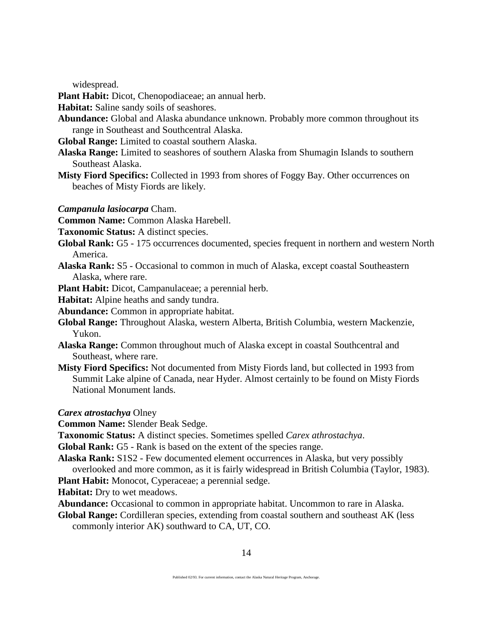widespread.

**Plant Habit:** Dicot, Chenopodiaceae; an annual herb.

**Habitat:** Saline sandy soils of seashores.

**Abundance:** Global and Alaska abundance unknown. Probably more common throughout its range in Southeast and Southcentral Alaska.

**Global Range:** Limited to coastal southern Alaska.

- **Alaska Range:** Limited to seashores of southern Alaska from Shumagin Islands to southern Southeast Alaska.
- **Misty Fiord Specifics:** Collected in 1993 from shores of Foggy Bay. Other occurrences on beaches of Misty Fiords are likely.

#### *Campanula lasiocarpa* Cham.

**Common Name:** Common Alaska Harebell.

- **Taxonomic Status:** A distinct species.
- **Global Rank:** G5 175 occurrences documented, species frequent in northern and western North America.
- **Alaska Rank:** S5 Occasional to common in much of Alaska, except coastal Southeastern Alaska, where rare.
- **Plant Habit:** Dicot, Campanulaceae; a perennial herb.

**Habitat:** Alpine heaths and sandy tundra.

**Abundance:** Common in appropriate habitat.

- **Global Range:** Throughout Alaska, western Alberta, British Columbia, western Mackenzie, Yukon.
- **Alaska Range:** Common throughout much of Alaska except in coastal Southcentral and Southeast, where rare.
- **Misty Fiord Specifics:** Not documented from Misty Fiords land, but collected in 1993 from Summit Lake alpine of Canada, near Hyder. Almost certainly to be found on Misty Fiords National Monument lands.

*Carex atrostachya* Olney

**Common Name:** Slender Beak Sedge.

- **Taxonomic Status:** A distinct species. Sometimes spelled *Carex athrostachya*.
- **Global Rank:** G5 Rank is based on the extent of the species range.
- **Alaska Rank:** S1S2 Few documented element occurrences in Alaska, but very possibly overlooked and more common, as it is fairly widespread in British Columbia (Taylor, 1983).

**Plant Habit:** Monocot, Cyperaceae; a perennial sedge.

**Habitat:** Dry to wet meadows.

**Abundance:** Occasional to common in appropriate habitat. Uncommon to rare in Alaska.

**Global Range:** Cordilleran species, extending from coastal southern and southeast AK (less commonly interior AK) southward to CA, UT, CO.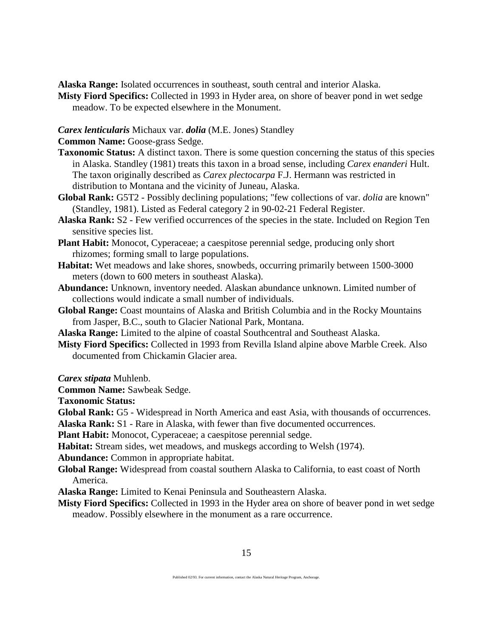**Alaska Range:** Isolated occurrences in southeast, south central and interior Alaska.

**Misty Fiord Specifics:** Collected in 1993 in Hyder area, on shore of beaver pond in wet sedge meadow. To be expected elsewhere in the Monument.

*Carex lenticularis* Michaux var. *dolia* (M.E. Jones) Standley

**Common Name:** Goose-grass Sedge.

- **Taxonomic Status:** A distinct taxon. There is some question concerning the status of this species in Alaska. Standley (1981) treats this taxon in a broad sense, including *Carex enanderi* Hult. The taxon originally described as *Carex plectocarpa* F.J. Hermann was restricted in distribution to Montana and the vicinity of Juneau, Alaska.
- **Global Rank:** G5T2 Possibly declining populations; "few collections of var. *dolia* are known" (Standley, 1981). Listed as Federal category 2 in 90-02-21 Federal Register.
- **Alaska Rank:** S2 Few verified occurrences of the species in the state. Included on Region Ten sensitive species list.
- **Plant Habit:** Monocot, Cyperaceae; a caespitose perennial sedge, producing only short rhizomes; forming small to large populations.
- **Habitat:** Wet meadows and lake shores, snowbeds, occurring primarily between 1500-3000 meters (down to 600 meters in southeast Alaska).
- **Abundance:** Unknown, inventory needed. Alaskan abundance unknown. Limited number of collections would indicate a small number of individuals.
- **Global Range:** Coast mountains of Alaska and British Columbia and in the Rocky Mountains from Jasper, B.C., south to Glacier National Park, Montana.
- **Alaska Range:** Limited to the alpine of coastal Southcentral and Southeast Alaska.
- **Misty Fiord Specifics:** Collected in 1993 from Revilla Island alpine above Marble Creek. Also documented from Chickamin Glacier area.

*Carex stipata* Muhlenb.

**Common Name:** Sawbeak Sedge.

**Taxonomic Status:**

**Global Rank:** G5 - Widespread in North America and east Asia, with thousands of occurrences.

**Alaska Rank:** S1 - Rare in Alaska, with fewer than five documented occurrences.

**Plant Habit:** Monocot, Cyperaceae; a caespitose perennial sedge.

**Habitat:** Stream sides, wet meadows, and muskegs according to Welsh (1974).

**Abundance:** Common in appropriate habitat.

**Global Range:** Widespread from coastal southern Alaska to California, to east coast of North America.

**Alaska Range:** Limited to Kenai Peninsula and Southeastern Alaska.

**Misty Fiord Specifics:** Collected in 1993 in the Hyder area on shore of beaver pond in wet sedge meadow. Possibly elsewhere in the monument as a rare occurrence.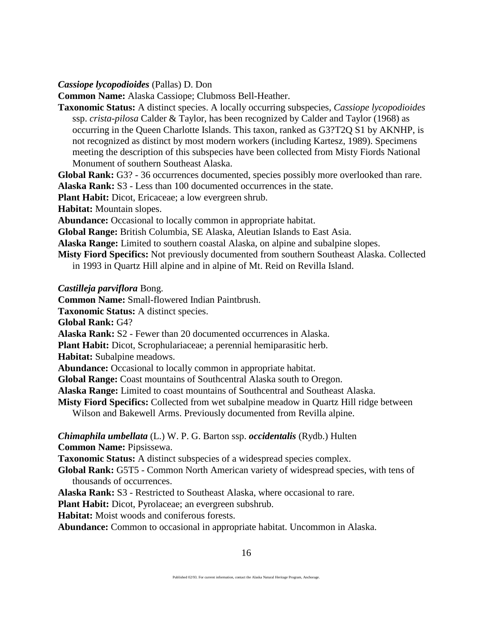*Cassiope lycopodioides* (Pallas) D. Don

**Common Name:** Alaska Cassiope; Clubmoss Bell-Heather.

**Taxonomic Status:** A distinct species. A locally occurring subspecies, *Cassiope lycopodioides* ssp. *crista-pilosa* Calder & Taylor, has been recognized by Calder and Taylor (1968) as occurring in the Queen Charlotte Islands. This taxon, ranked as G3?T2Q S1 by AKNHP, is not recognized as distinct by most modern workers (including Kartesz, 1989). Specimens meeting the description of this subspecies have been collected from Misty Fiords National Monument of southern Southeast Alaska.

**Global Rank:** G3? - 36 occurrences documented, species possibly more overlooked than rare. **Alaska Rank:** S3 - Less than 100 documented occurrences in the state.

**Plant Habit:** Dicot, Ericaceae; a low evergreen shrub.

**Habitat:** Mountain slopes.

**Abundance:** Occasional to locally common in appropriate habitat.

**Global Range:** British Columbia, SE Alaska, Aleutian Islands to East Asia.

**Alaska Range:** Limited to southern coastal Alaska, on alpine and subalpine slopes.

**Misty Fiord Specifics:** Not previously documented from southern Southeast Alaska. Collected in 1993 in Quartz Hill alpine and in alpine of Mt. Reid on Revilla Island.

*Castilleja parviflora* Bong.

**Common Name:** Small-flowered Indian Paintbrush.

**Taxonomic Status:** A distinct species.

**Global Rank:** G4?

**Alaska Rank:** S2 - Fewer than 20 documented occurrences in Alaska.

**Plant Habit:** Dicot, Scrophulariaceae; a perennial hemiparasitic herb.

**Habitat:** Subalpine meadows.

**Abundance:** Occasional to locally common in appropriate habitat.

**Global Range:** Coast mountains of Southcentral Alaska south to Oregon.

**Alaska Range:** Limited to coast mountains of Southcentral and Southeast Alaska.

**Misty Fiord Specifics:** Collected from wet subalpine meadow in Quartz Hill ridge between

Wilson and Bakewell Arms. Previously documented from Revilla alpine.

### *Chimaphila umbellata* (L.) W. P. G. Barton ssp. *occidentalis* (Rydb.) Hulten **Common Name:** Pipsissewa.

**Taxonomic Status:** A distinct subspecies of a widespread species complex.

**Global Rank:** G5T5 - Common North American variety of widespread species, with tens of thousands of occurrences.

**Alaska Rank:** S3 - Restricted to Southeast Alaska, where occasional to rare.

**Plant Habit:** Dicot, Pyrolaceae; an evergreen subshrub.

**Habitat:** Moist woods and coniferous forests.

**Abundance:** Common to occasional in appropriate habitat. Uncommon in Alaska.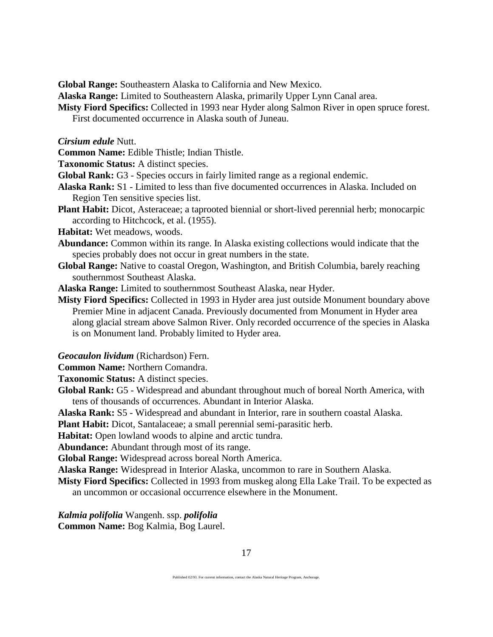**Global Range:** Southeastern Alaska to California and New Mexico.

**Alaska Range:** Limited to Southeastern Alaska, primarily Upper Lynn Canal area.

**Misty Fiord Specifics:** Collected in 1993 near Hyder along Salmon River in open spruce forest. First documented occurrence in Alaska south of Juneau.

*Cirsium edule* Nutt.

**Common Name:** Edible Thistle; Indian Thistle.

**Taxonomic Status:** A distinct species.

**Global Rank:** G3 - Species occurs in fairly limited range as a regional endemic.

- **Alaska Rank:** S1 Limited to less than five documented occurrences in Alaska. Included on Region Ten sensitive species list.
- **Plant Habit:** Dicot, Asteraceae; a taprooted biennial or short-lived perennial herb; monocarpic according to Hitchcock, et al. (1955).
- **Habitat:** Wet meadows, woods.
- **Abundance:** Common within its range. In Alaska existing collections would indicate that the species probably does not occur in great numbers in the state.
- **Global Range:** Native to coastal Oregon, Washington, and British Columbia, barely reaching southernmost Southeast Alaska.

**Alaska Range:** Limited to southernmost Southeast Alaska, near Hyder.

**Misty Fiord Specifics:** Collected in 1993 in Hyder area just outside Monument boundary above Premier Mine in adjacent Canada. Previously documented from Monument in Hyder area along glacial stream above Salmon River. Only recorded occurrence of the species in Alaska is on Monument land. Probably limited to Hyder area.

*Geocaulon lividum* (Richardson) Fern.

**Common Name:** Northern Comandra.

**Taxonomic Status:** A distinct species.

**Global Rank:** G5 - Widespread and abundant throughout much of boreal North America, with tens of thousands of occurrences. Abundant in Interior Alaska.

**Alaska Rank:** S5 - Widespread and abundant in Interior, rare in southern coastal Alaska.

**Plant Habit:** Dicot, Santalaceae; a small perennial semi-parasitic herb.

**Habitat:** Open lowland woods to alpine and arctic tundra.

**Abundance:** Abundant through most of its range.

**Global Range:** Widespread across boreal North America.

**Alaska Range:** Widespread in Interior Alaska, uncommon to rare in Southern Alaska.

**Misty Fiord Specifics:** Collected in 1993 from muskeg along Ella Lake Trail. To be expected as an uncommon or occasional occurrence elsewhere in the Monument.

*Kalmia polifolia* Wangenh. ssp. *polifolia*

**Common Name:** Bog Kalmia, Bog Laurel.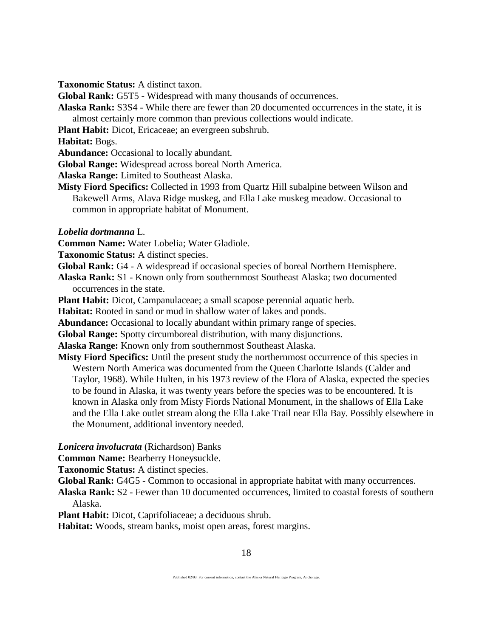**Taxonomic Status:** A distinct taxon.

**Global Rank:** G5T5 - Widespread with many thousands of occurrences.

**Alaska Rank:** S3S4 - While there are fewer than 20 documented occurrences in the state, it is almost certainly more common than previous collections would indicate.

**Plant Habit:** Dicot, Ericaceae; an evergreen subshrub.

**Habitat:** Bogs.

**Abundance:** Occasional to locally abundant.

**Global Range:** Widespread across boreal North America.

**Alaska Range:** Limited to Southeast Alaska.

**Misty Fiord Specifics:** Collected in 1993 from Quartz Hill subalpine between Wilson and Bakewell Arms, Alava Ridge muskeg, and Ella Lake muskeg meadow. Occasional to common in appropriate habitat of Monument.

*Lobelia dortmanna* L.

**Common Name:** Water Lobelia; Water Gladiole.

**Taxonomic Status:** A distinct species.

**Global Rank:** G4 - A widespread if occasional species of boreal Northern Hemisphere.

**Alaska Rank:** S1 - Known only from southernmost Southeast Alaska; two documented occurrences in the state.

**Plant Habit:** Dicot, Campanulaceae; a small scapose perennial aquatic herb.

**Habitat:** Rooted in sand or mud in shallow water of lakes and ponds.

**Abundance:** Occasional to locally abundant within primary range of species.

**Global Range:** Spotty circumboreal distribution, with many disjunctions.

**Alaska Range:** Known only from southernmost Southeast Alaska.

**Misty Fiord Specifics:** Until the present study the northernmost occurrence of this species in Western North America was documented from the Queen Charlotte Islands (Calder and Taylor, 1968). While Hulten, in his 1973 review of the Flora of Alaska, expected the species to be found in Alaska, it was twenty years before the species was to be encountered. It is known in Alaska only from Misty Fiords National Monument, in the shallows of Ella Lake and the Ella Lake outlet stream along the Ella Lake Trail near Ella Bay. Possibly elsewhere in the Monument, additional inventory needed.

*Lonicera involucrata* (Richardson) Banks

**Common Name:** Bearberry Honeysuckle.

**Taxonomic Status:** A distinct species.

**Global Rank:** G4G5 - Common to occasional in appropriate habitat with many occurrences.

**Alaska Rank:** S2 - Fewer than 10 documented occurrences, limited to coastal forests of southern Alaska.

**Plant Habit:** Dicot, Caprifoliaceae; a deciduous shrub.

**Habitat:** Woods, stream banks, moist open areas, forest margins.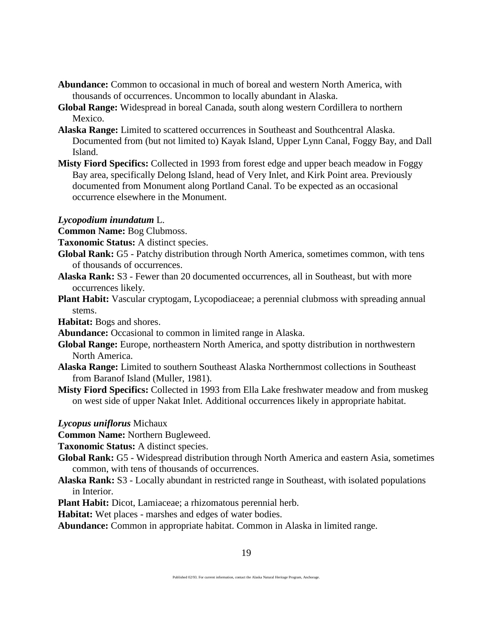- **Abundance:** Common to occasional in much of boreal and western North America, with thousands of occurrences. Uncommon to locally abundant in Alaska.
- **Global Range:** Widespread in boreal Canada, south along western Cordillera to northern Mexico.
- **Alaska Range:** Limited to scattered occurrences in Southeast and Southcentral Alaska. Documented from (but not limited to) Kayak Island, Upper Lynn Canal, Foggy Bay, and Dall Island.
- **Misty Fiord Specifics:** Collected in 1993 from forest edge and upper beach meadow in Foggy Bay area, specifically Delong Island, head of Very Inlet, and Kirk Point area. Previously documented from Monument along Portland Canal. To be expected as an occasional occurrence elsewhere in the Monument.

### *Lycopodium inundatum* L.

**Common Name:** Bog Clubmoss.

- **Taxonomic Status:** A distinct species.
- **Global Rank:** G5 Patchy distribution through North America, sometimes common, with tens of thousands of occurrences.
- **Alaska Rank:** S3 Fewer than 20 documented occurrences, all in Southeast, but with more occurrences likely.
- **Plant Habit:** Vascular cryptogam, Lycopodiaceae; a perennial clubmoss with spreading annual stems.

**Habitat:** Bogs and shores.

- **Abundance:** Occasional to common in limited range in Alaska.
- **Global Range:** Europe, northeastern North America, and spotty distribution in northwestern North America.
- **Alaska Range:** Limited to southern Southeast Alaska Northernmost collections in Southeast from Baranof Island (Muller, 1981).
- **Misty Fiord Specifics:** Collected in 1993 from Ella Lake freshwater meadow and from muskeg on west side of upper Nakat Inlet. Additional occurrences likely in appropriate habitat.
- *Lycopus uniflorus* Michaux

**Common Name:** Northern Bugleweed.

**Taxonomic Status:** A distinct species.

- **Global Rank:** G5 Widespread distribution through North America and eastern Asia, sometimes common, with tens of thousands of occurrences.
- **Alaska Rank:** S3 Locally abundant in restricted range in Southeast, with isolated populations in Interior.
- **Plant Habit:** Dicot, Lamiaceae; a rhizomatous perennial herb.

**Habitat:** Wet places - marshes and edges of water bodies.

**Abundance:** Common in appropriate habitat. Common in Alaska in limited range.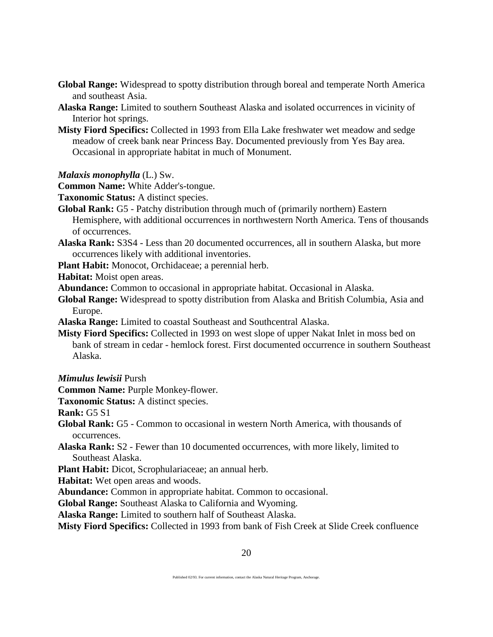- **Global Range:** Widespread to spotty distribution through boreal and temperate North America and southeast Asia.
- **Alaska Range:** Limited to southern Southeast Alaska and isolated occurrences in vicinity of Interior hot springs.
- **Misty Fiord Specifics:** Collected in 1993 from Ella Lake freshwater wet meadow and sedge meadow of creek bank near Princess Bay. Documented previously from Yes Bay area. Occasional in appropriate habitat in much of Monument.
- *Malaxis monophylla* (L.) Sw.
- **Common Name:** White Adder's-tongue.

**Taxonomic Status:** A distinct species.

- **Global Rank:** G5 Patchy distribution through much of (primarily northern) Eastern Hemisphere, with additional occurrences in northwestern North America. Tens of thousands of occurrences.
- **Alaska Rank:** S3S4 Less than 20 documented occurrences, all in southern Alaska, but more occurrences likely with additional inventories.

**Plant Habit:** Monocot, Orchidaceae; a perennial herb.

**Habitat:** Moist open areas.

**Abundance:** Common to occasional in appropriate habitat. Occasional in Alaska.

**Global Range:** Widespread to spotty distribution from Alaska and British Columbia, Asia and Europe.

**Alaska Range:** Limited to coastal Southeast and Southcentral Alaska.

**Misty Fiord Specifics:** Collected in 1993 on west slope of upper Nakat Inlet in moss bed on bank of stream in cedar - hemlock forest. First documented occurrence in southern Southeast Alaska.

*Mimulus lewisii* Pursh

**Common Name:** Purple Monkey-flower.

**Taxonomic Status:** A distinct species.

**Rank:** G5 S1

**Global Rank:** G5 - Common to occasional in western North America, with thousands of occurrences.

**Alaska Rank:** S2 - Fewer than 10 documented occurrences, with more likely, limited to Southeast Alaska.

**Plant Habit:** Dicot, Scrophulariaceae; an annual herb.

**Habitat:** Wet open areas and woods.

**Abundance:** Common in appropriate habitat. Common to occasional.

**Global Range:** Southeast Alaska to California and Wyoming.

**Alaska Range:** Limited to southern half of Southeast Alaska.

**Misty Fiord Specifics:** Collected in 1993 from bank of Fish Creek at Slide Creek confluence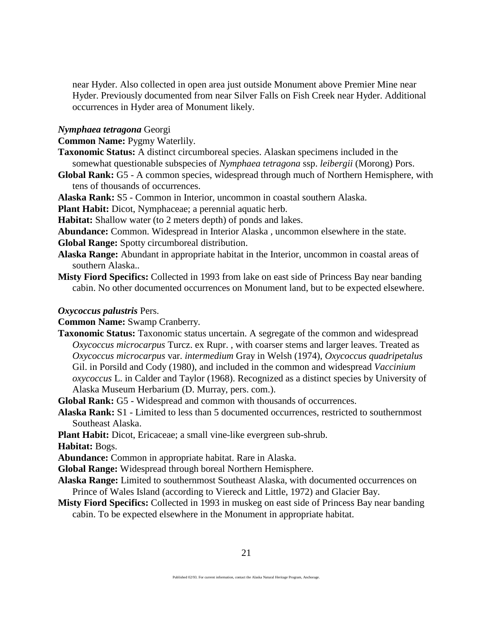near Hyder. Also collected in open area just outside Monument above Premier Mine near Hyder. Previously documented from near Silver Falls on Fish Creek near Hyder. Additional occurrences in Hyder area of Monument likely.

#### *Nymphaea tetragona* Georgi

**Common Name:** Pygmy Waterlily.

- **Taxonomic Status:** A distinct circumboreal species. Alaskan specimens included in the somewhat questionable subspecies of *Nymphaea tetragona* ssp. *leibergii* (Morong) Pors.
- **Global Rank:** G5 A common species, widespread through much of Northern Hemisphere, with tens of thousands of occurrences.

**Alaska Rank:** S5 - Common in Interior, uncommon in coastal southern Alaska.

**Plant Habit:** Dicot, Nymphaceae; a perennial aquatic herb.

**Habitat:** Shallow water (to 2 meters depth) of ponds and lakes.

**Abundance:** Common. Widespread in Interior Alaska , uncommon elsewhere in the state.

**Global Range:** Spotty circumboreal distribution.

- **Alaska Range:** Abundant in appropriate habitat in the Interior, uncommon in coastal areas of southern Alaska..
- **Misty Fiord Specifics:** Collected in 1993 from lake on east side of Princess Bay near banding cabin. No other documented occurrences on Monument land, but to be expected elsewhere.

#### *Oxycoccus palustris* Pers.

**Common Name:** Swamp Cranberry.

**Taxonomic Status:** Taxonomic status uncertain. A segregate of the common and widespread *Oxycoccus microcarpus* Turcz. ex Rupr. , with coarser stems and larger leaves. Treated as *Oxycoccus microcarpus* var. *intermedium* Gray in Welsh (1974), *Oxycoccus quadripetalus* Gil. in Porsild and Cody (1980), and included in the common and widespread *Vaccinium oxycoccus* L. in Calder and Taylor (1968). Recognized as a distinct species by University of Alaska Museum Herbarium (D. Murray, pers. com.).

**Global Rank:** G5 - Widespread and common with thousands of occurrences.

**Alaska Rank:** S1 - Limited to less than 5 documented occurrences, restricted to southernmost Southeast Alaska.

**Plant Habit:** Dicot, Ericaceae; a small vine-like evergreen sub-shrub.

**Habitat:** Bogs.

**Abundance:** Common in appropriate habitat. Rare in Alaska.

**Global Range:** Widespread through boreal Northern Hemisphere.

- **Alaska Range:** Limited to southernmost Southeast Alaska, with documented occurrences on Prince of Wales Island (according to Viereck and Little, 1972) and Glacier Bay.
- **Misty Fiord Specifics:** Collected in 1993 in muskeg on east side of Princess Bay near banding cabin. To be expected elsewhere in the Monument in appropriate habitat.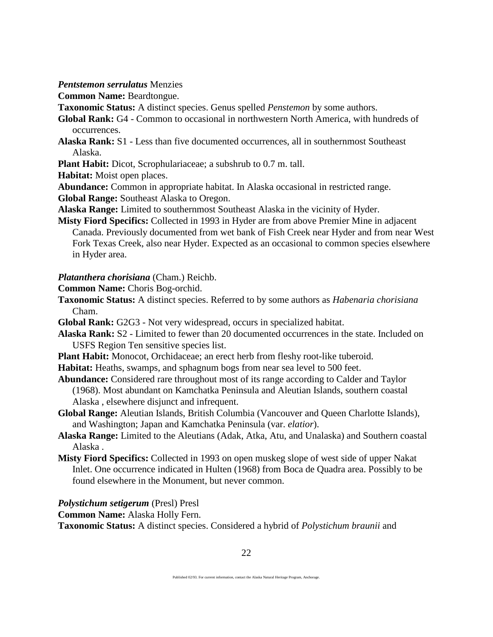*Pentstemon serrulatus* Menzies

**Common Name:** Beardtongue.

**Taxonomic Status:** A distinct species. Genus spelled *Penstemon* by some authors.

**Global Rank:** G4 - Common to occasional in northwestern North America, with hundreds of occurrences.

**Alaska Rank:** S1 - Less than five documented occurrences, all in southernmost Southeast Alaska.

**Plant Habit:** Dicot, Scrophulariaceae; a subshrub to 0.7 m. tall.

**Habitat:** Moist open places.

**Abundance:** Common in appropriate habitat. In Alaska occasional in restricted range.

**Global Range:** Southeast Alaska to Oregon.

**Alaska Range:** Limited to southernmost Southeast Alaska in the vicinity of Hyder.

**Misty Fiord Specifics:** Collected in 1993 in Hyder are from above Premier Mine in adjacent Canada. Previously documented from wet bank of Fish Creek near Hyder and from near West Fork Texas Creek, also near Hyder. Expected as an occasional to common species elsewhere in Hyder area.

*Platanthera chorisiana* (Cham.) Reichb.

**Common Name:** Choris Bog-orchid.

**Taxonomic Status:** A distinct species. Referred to by some authors as *Habenaria chorisiana* Cham.

**Global Rank:** G2G3 - Not very widespread, occurs in specialized habitat.

- **Alaska Rank:** S2 Limited to fewer than 20 documented occurrences in the state. Included on USFS Region Ten sensitive species list.
- **Plant Habit:** Monocot, Orchidaceae; an erect herb from fleshy root-like tuberoid.
- **Habitat:** Heaths, swamps, and sphagnum bogs from near sea level to 500 feet.
- **Abundance:** Considered rare throughout most of its range according to Calder and Taylor (1968). Most abundant on Kamchatka Peninsula and Aleutian Islands, southern coastal Alaska , elsewhere disjunct and infrequent.
- **Global Range:** Aleutian Islands, British Columbia (Vancouver and Queen Charlotte Islands), and Washington; Japan and Kamchatka Peninsula (var. *elatior*).
- **Alaska Range:** Limited to the Aleutians (Adak, Atka, Atu, and Unalaska) and Southern coastal Alaska .
- **Misty Fiord Specifics:** Collected in 1993 on open muskeg slope of west side of upper Nakat Inlet. One occurrence indicated in Hulten (1968) from Boca de Quadra area. Possibly to be found elsewhere in the Monument, but never common.

*Polystichum setigerum* (Presl) Presl

**Common Name:** Alaska Holly Fern.

**Taxonomic Status:** A distinct species. Considered a hybrid of *Polystichum braunii* and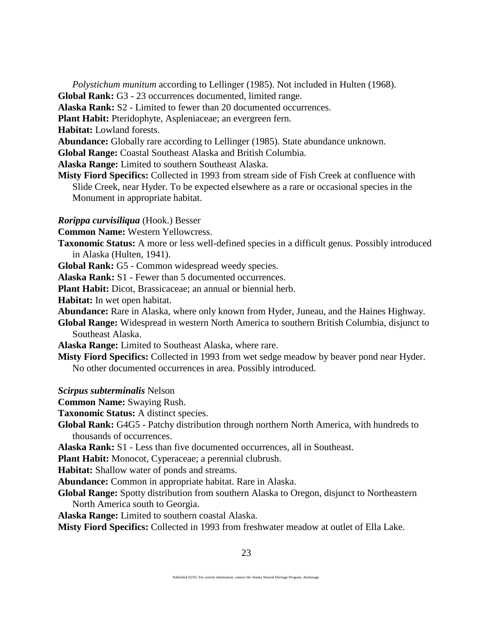*Polystichum munitum* according to Lellinger (1985). Not included in Hulten (1968). **Global Rank:** G3 - 23 occurrences documented, limited range.

**Alaska Rank:** S2 - Limited to fewer than 20 documented occurrences.

**Plant Habit:** Pteridophyte, Aspleniaceae; an evergreen fern.

**Habitat:** Lowland forests.

**Abundance:** Globally rare according to Lellinger (1985). State abundance unknown.

**Global Range:** Coastal Southeast Alaska and British Columbia.

**Alaska Range:** Limited to southern Southeast Alaska.

**Misty Fiord Specifics:** Collected in 1993 from stream side of Fish Creek at confluence with Slide Creek, near Hyder. To be expected elsewhere as a rare or occasional species in the Monument in appropriate habitat.

#### *Rorippa curvisiliqua* (Hook.) Besser

**Common Name:** Western Yellowcress.

**Taxonomic Status:** A more or less well-defined species in a difficult genus. Possibly introduced in Alaska (Hulten, 1941).

**Global Rank:** G5 - Common widespread weedy species.

**Alaska Rank:** S1 - Fewer than 5 documented occurrences.

**Plant Habit:** Dicot, Brassicaceae; an annual or biennial herb.

**Habitat:** In wet open habitat.

**Abundance:** Rare in Alaska, where only known from Hyder, Juneau, and the Haines Highway.

**Global Range:** Widespread in western North America to southern British Columbia, disjunct to Southeast Alaska.

**Alaska Range:** Limited to Southeast Alaska, where rare.

**Misty Fiord Specifics:** Collected in 1993 from wet sedge meadow by beaver pond near Hyder. No other documented occurrences in area. Possibly introduced.

*Scirpus subterminalis* Nelson

**Common Name:** Swaying Rush.

**Taxonomic Status:** A distinct species.

**Global Rank:** G4G5 - Patchy distribution through northern North America, with hundreds to thousands of occurrences.

**Alaska Rank:** S1 - Less than five documented occurrences, all in Southeast.

**Plant Habit:** Monocot, Cyperaceae; a perennial clubrush.

**Habitat:** Shallow water of ponds and streams.

**Abundance:** Common in appropriate habitat. Rare in Alaska.

**Global Range:** Spotty distribution from southern Alaska to Oregon, disjunct to Northeastern North America south to Georgia.

**Alaska Range:** Limited to southern coastal Alaska.

**Misty Fiord Specifics:** Collected in 1993 from freshwater meadow at outlet of Ella Lake.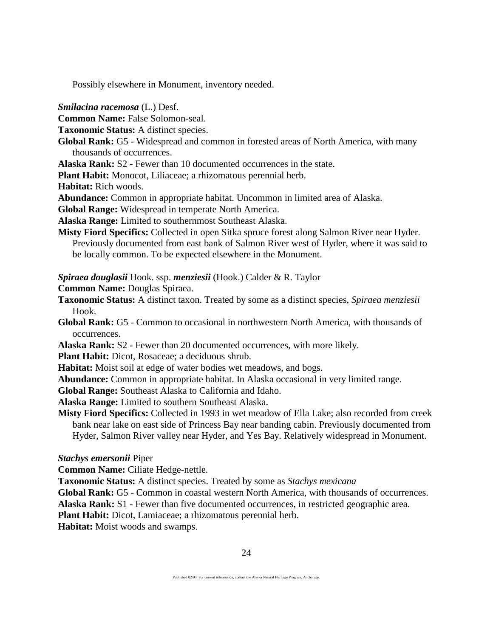Possibly elsewhere in Monument, inventory needed.

*Smilacina racemosa* (L.) Desf.

**Common Name:** False Solomon-seal.

**Taxonomic Status:** A distinct species.

**Global Rank:** G5 - Widespread and common in forested areas of North America, with many thousands of occurrences.

**Alaska Rank:** S2 - Fewer than 10 documented occurrences in the state.

**Plant Habit:** Monocot, Liliaceae; a rhizomatous perennial herb.

**Habitat:** Rich woods.

**Abundance:** Common in appropriate habitat. Uncommon in limited area of Alaska.

**Global Range:** Widespread in temperate North America.

**Alaska Range:** Limited to southernmost Southeast Alaska.

**Misty Fiord Specifics:** Collected in open Sitka spruce forest along Salmon River near Hyder. Previously documented from east bank of Salmon River west of Hyder, where it was said to be locally common. To be expected elsewhere in the Monument.

*Spiraea douglasii* Hook. ssp. *menziesii* (Hook.) Calder & R. Taylor

**Common Name:** Douglas Spiraea.

- **Taxonomic Status:** A distinct taxon. Treated by some as a distinct species, *Spiraea menziesii* Hook.
- **Global Rank:** G5 Common to occasional in northwestern North America, with thousands of occurrences.

**Alaska Rank:** S2 - Fewer than 20 documented occurrences, with more likely.

**Plant Habit:** Dicot, Rosaceae; a deciduous shrub.

**Habitat:** Moist soil at edge of water bodies wet meadows, and bogs.

**Abundance:** Common in appropriate habitat. In Alaska occasional in very limited range.

**Global Range:** Southeast Alaska to California and Idaho.

**Alaska Range:** Limited to southern Southeast Alaska.

**Misty Fiord Specifics:** Collected in 1993 in wet meadow of Ella Lake; also recorded from creek bank near lake on east side of Princess Bay near banding cabin. Previously documented from Hyder, Salmon River valley near Hyder, and Yes Bay. Relatively widespread in Monument.

#### *Stachys emersonii* Piper

**Common Name:** Ciliate Hedge-nettle.

**Taxonomic Status:** A distinct species. Treated by some as *Stachys mexicana*

**Global Rank:** G5 - Common in coastal western North America, with thousands of occurrences.

**Alaska Rank:** S1 - Fewer than five documented occurrences, in restricted geographic area.

**Plant Habit:** Dicot, Lamiaceae; a rhizomatous perennial herb.

**Habitat:** Moist woods and swamps.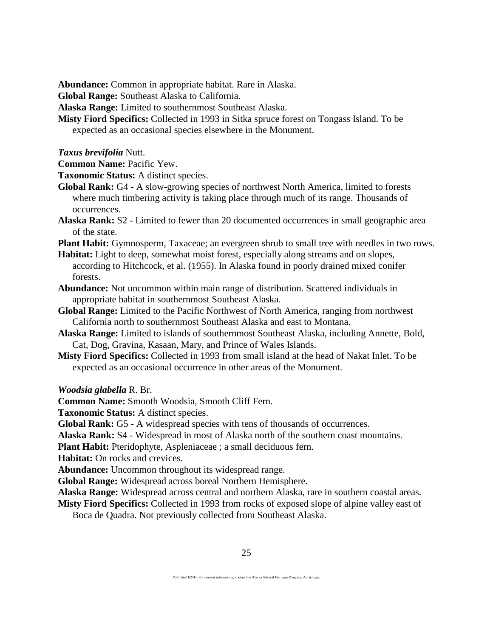**Abundance:** Common in appropriate habitat. Rare in Alaska.

**Global Range:** Southeast Alaska to California.

**Alaska Range:** Limited to southernmost Southeast Alaska.

- **Misty Fiord Specifics:** Collected in 1993 in Sitka spruce forest on Tongass Island. To be expected as an occasional species elsewhere in the Monument.
- *Taxus brevifolia* Nutt.
- **Common Name:** Pacific Yew.

**Taxonomic Status:** A distinct species.

- **Global Rank:** G4 A slow-growing species of northwest North America, limited to forests where much timbering activity is taking place through much of its range. Thousands of occurrences.
- **Alaska Rank:** S2 Limited to fewer than 20 documented occurrences in small geographic area of the state.

**Plant Habit:** Gymnosperm, Taxaceae; an evergreen shrub to small tree with needles in two rows.

- **Habitat:** Light to deep, somewhat moist forest, especially along streams and on slopes, according to Hitchcock, et al. (1955). In Alaska found in poorly drained mixed conifer forests.
- **Abundance:** Not uncommon within main range of distribution. Scattered individuals in appropriate habitat in southernmost Southeast Alaska.
- **Global Range:** Limited to the Pacific Northwest of North America, ranging from northwest California north to southernmost Southeast Alaska and east to Montana.
- **Alaska Range:** Limited to islands of southernmost Southeast Alaska, including Annette, Bold, Cat, Dog, Gravina, Kasaan, Mary, and Prince of Wales Islands.
- **Misty Fiord Specifics:** Collected in 1993 from small island at the head of Nakat Inlet. To be expected as an occasional occurrence in other areas of the Monument.

*Woodsia glabella* R. Br.

**Common Name:** Smooth Woodsia, Smooth Cliff Fern.

**Taxonomic Status:** A distinct species.

**Global Rank:** G5 - A widespread species with tens of thousands of occurrences.

**Alaska Rank:** S4 - Widespread in most of Alaska north of the southern coast mountains.

**Plant Habit:** Pteridophyte, Aspleniaceae ; a small deciduous fern.

**Habitat:** On rocks and crevices.

**Abundance:** Uncommon throughout its widespread range.

**Global Range:** Widespread across boreal Northern Hemisphere.

**Alaska Range:** Widespread across central and northern Alaska, rare in southern coastal areas.

**Misty Fiord Specifics:** Collected in 1993 from rocks of exposed slope of alpine valley east of Boca de Quadra. Not previously collected from Southeast Alaska.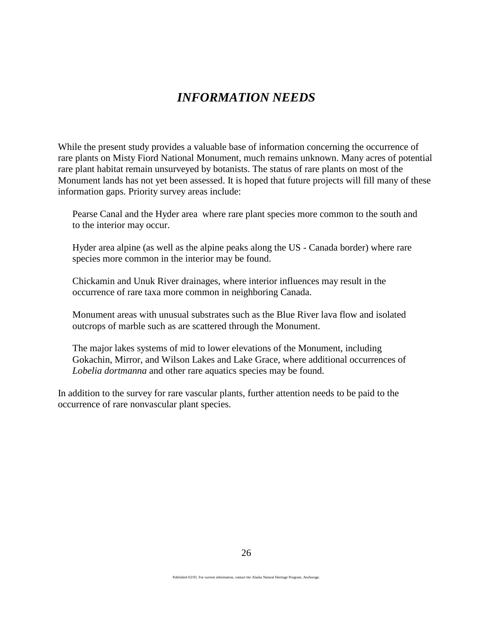# *INFORMATION NEEDS*

While the present study provides a valuable base of information concerning the occurrence of rare plants on Misty Fiord National Monument, much remains unknown. Many acres of potential rare plant habitat remain unsurveyed by botanists. The status of rare plants on most of the Monument lands has not yet been assessed. It is hoped that future projects will fill many of these information gaps. Priority survey areas include:

Pearse Canal and the Hyder area where rare plant species more common to the south and to the interior may occur.

Hyder area alpine (as well as the alpine peaks along the US - Canada border) where rare species more common in the interior may be found.

Chickamin and Unuk River drainages, where interior influences may result in the occurrence of rare taxa more common in neighboring Canada.

Monument areas with unusual substrates such as the Blue River lava flow and isolated outcrops of marble such as are scattered through the Monument.

The major lakes systems of mid to lower elevations of the Monument, including Gokachin, Mirror, and Wilson Lakes and Lake Grace, where additional occurrences of *Lobelia dortmanna* and other rare aquatics species may be found.

In addition to the survey for rare vascular plants, further attention needs to be paid to the occurrence of rare nonvascular plant species.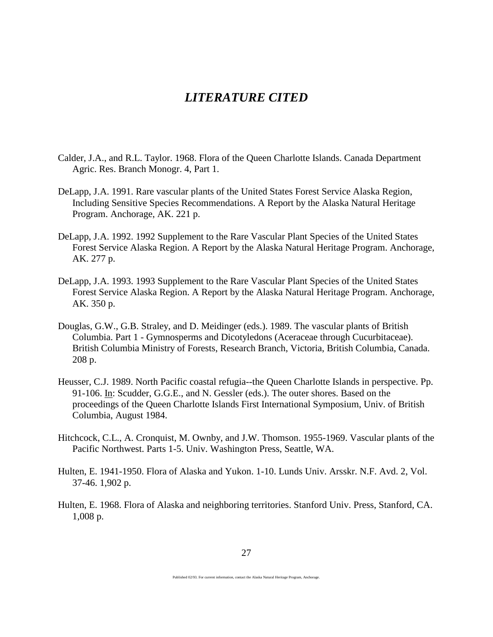# *LITERATURE CITED*

- Calder, J.A., and R.L. Taylor. 1968. Flora of the Queen Charlotte Islands. Canada Department Agric. Res. Branch Monogr. 4, Part 1.
- DeLapp, J.A. 1991. Rare vascular plants of the United States Forest Service Alaska Region, Including Sensitive Species Recommendations. A Report by the Alaska Natural Heritage Program. Anchorage, AK. 221 p.
- DeLapp, J.A. 1992. 1992 Supplement to the Rare Vascular Plant Species of the United States Forest Service Alaska Region. A Report by the Alaska Natural Heritage Program. Anchorage, AK. 277 p.
- DeLapp, J.A. 1993. 1993 Supplement to the Rare Vascular Plant Species of the United States Forest Service Alaska Region. A Report by the Alaska Natural Heritage Program. Anchorage, AK. 350 p.
- Douglas, G.W., G.B. Straley, and D. Meidinger (eds.). 1989. The vascular plants of British Columbia. Part 1 - Gymnosperms and Dicotyledons (Aceraceae through Cucurbitaceae). British Columbia Ministry of Forests, Research Branch, Victoria, British Columbia, Canada. 208 p.
- Heusser, C.J. 1989. North Pacific coastal refugia--the Queen Charlotte Islands in perspective. Pp. 91-106. In: Scudder, G.G.E., and N. Gessler (eds.). The outer shores. Based on the proceedings of the Queen Charlotte Islands First International Symposium, Univ. of British Columbia, August 1984.
- Hitchcock, C.L., A. Cronquist, M. Ownby, and J.W. Thomson. 1955-1969. Vascular plants of the Pacific Northwest. Parts 1-5. Univ. Washington Press, Seattle, WA.
- Hulten, E. 1941-1950. Flora of Alaska and Yukon. 1-10. Lunds Univ. Arsskr. N.F. Avd. 2, Vol. 37-46. 1,902 p.
- Hulten, E. 1968. Flora of Alaska and neighboring territories. Stanford Univ. Press, Stanford, CA. 1,008 p.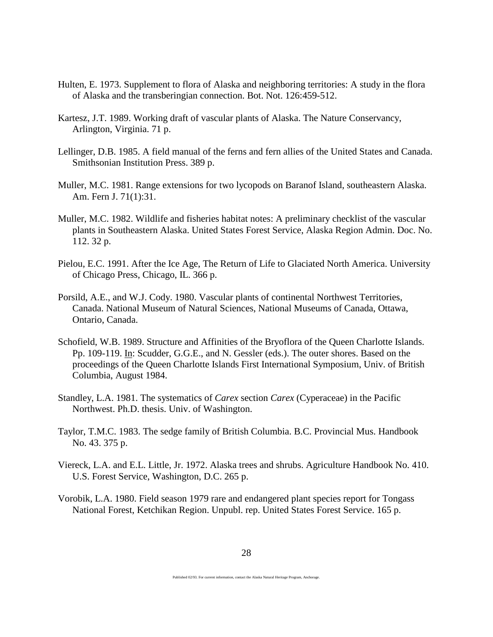- Hulten, E. 1973. Supplement to flora of Alaska and neighboring territories: A study in the flora of Alaska and the transberingian connection. Bot. Not. 126:459-512.
- Kartesz, J.T. 1989. Working draft of vascular plants of Alaska. The Nature Conservancy, Arlington, Virginia. 71 p.
- Lellinger, D.B. 1985. A field manual of the ferns and fern allies of the United States and Canada. Smithsonian Institution Press. 389 p.
- Muller, M.C. 1981. Range extensions for two lycopods on Baranof Island, southeastern Alaska. Am. Fern J. 71(1):31.
- Muller, M.C. 1982. Wildlife and fisheries habitat notes: A preliminary checklist of the vascular plants in Southeastern Alaska. United States Forest Service, Alaska Region Admin. Doc. No. 112. 32 p.
- Pielou, E.C. 1991. After the Ice Age, The Return of Life to Glaciated North America. University of Chicago Press, Chicago, IL. 366 p.
- Porsild, A.E., and W.J. Cody. 1980. Vascular plants of continental Northwest Territories, Canada. National Museum of Natural Sciences, National Museums of Canada, Ottawa, Ontario, Canada.
- Schofield, W.B. 1989. Structure and Affinities of the Bryoflora of the Queen Charlotte Islands. Pp. 109-119. In: Scudder, G.G.E., and N. Gessler (eds.). The outer shores. Based on the proceedings of the Queen Charlotte Islands First International Symposium, Univ. of British Columbia, August 1984.
- Standley, L.A. 1981. The systematics of *Carex* section *Carex* (Cyperaceae) in the Pacific Northwest. Ph.D. thesis. Univ. of Washington.
- Taylor, T.M.C. 1983. The sedge family of British Columbia. B.C. Provincial Mus. Handbook No. 43. 375 p.
- Viereck, L.A. and E.L. Little, Jr. 1972. Alaska trees and shrubs. Agriculture Handbook No. 410. U.S. Forest Service, Washington, D.C. 265 p.
- Vorobik, L.A. 1980. Field season 1979 rare and endangered plant species report for Tongass National Forest, Ketchikan Region. Unpubl. rep. United States Forest Service. 165 p.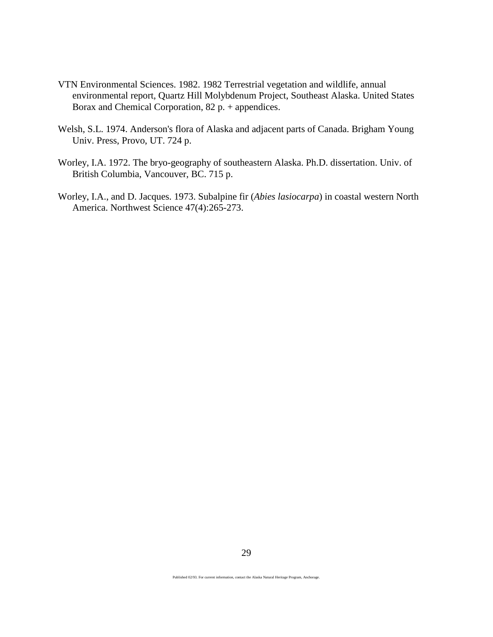- VTN Environmental Sciences. 1982. 1982 Terrestrial vegetation and wildlife, annual environmental report, Quartz Hill Molybdenum Project, Southeast Alaska. United States Borax and Chemical Corporation, 82 p. + appendices.
- Welsh, S.L. 1974. Anderson's flora of Alaska and adjacent parts of Canada. Brigham Young Univ. Press, Provo, UT. 724 p.
- Worley, I.A. 1972. The bryo-geography of southeastern Alaska. Ph.D. dissertation. Univ. of British Columbia, Vancouver, BC. 715 p.
- Worley, I.A., and D. Jacques. 1973. Subalpine fir (*Abies lasiocarpa*) in coastal western North America. Northwest Science 47(4):265-273.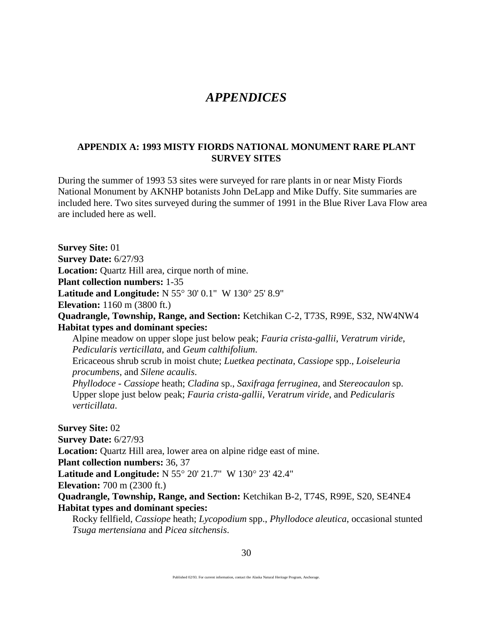# *APPENDICES*

# **APPENDIX A: 1993 MISTY FIORDS NATIONAL MONUMENT RARE PLANT SURVEY SITES**

During the summer of 1993 53 sites were surveyed for rare plants in or near Misty Fiords National Monument by AKNHP botanists John DeLapp and Mike Duffy. Site summaries are included here. Two sites surveyed during the summer of 1991 in the Blue River Lava Flow area are included here as well.

**Survey Site:** 01 **Survey Date:** 6/27/93 **Location:** Quartz Hill area, cirque north of mine. **Plant collection numbers:** 1-35 **Latitude and Longitude:** N 55° 30' 0.1" W 130° 25' 8.9" **Elevation:** 1160 m (3800 ft.) **Quadrangle, Township, Range, and Section:** Ketchikan C-2, T73S, R99E, S32, NW4NW4 **Habitat types and dominant species:** Alpine meadow on upper slope just below peak; *Fauria crista-gallii*, *Veratrum viride*, *Pedicularis verticillata*, and *Geum calthifolium*. Ericaceous shrub scrub in moist chute; *Luetkea pectinata*, *Cassiope* spp., *Loiseleuria procumbens*, and *Silene acaulis*. *Phyllodoce* - *Cassiope* heath; *Cladina* sp., *Saxifraga ferruginea*, and *Stereocaulon* sp. Upper slope just below peak; *Fauria crista-gallii*, *Veratrum viride*, and *Pedicularis verticillata*. **Survey Site:** 02 **Survey Date:** 6/27/93 **Location:** Quartz Hill area, lower area on alpine ridge east of mine. **Plant collection numbers:** 36, 37 **Latitude and Longitude:** N 55° 20' 21.7" W 130° 23' 42.4" **Elevation:** 700 m (2300 ft.) **Quadrangle, Township, Range, and Section:** Ketchikan B-2, T74S, R99E, S20, SE4NE4 **Habitat types and dominant species:** Rocky fellfield, *Cassiope* heath; *Lycopodium* spp., *Phyllodoce aleutica*, occasional stunted *Tsuga mertensiana* and *Picea sitchensis*.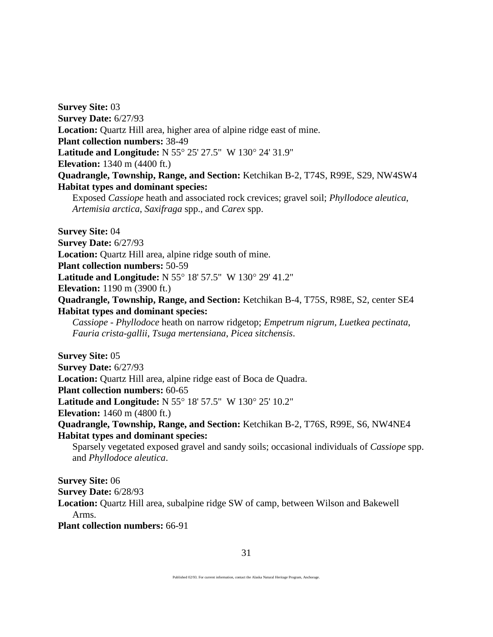**Survey Site:** 03 **Survey Date:** 6/27/93 **Location:** Quartz Hill area, higher area of alpine ridge east of mine. **Plant collection numbers:** 38-49 **Latitude and Longitude:** N 55° 25' 27.5" W 130° 24' 31.9" **Elevation:** 1340 m (4400 ft.) **Quadrangle, Township, Range, and Section:** Ketchikan B-2, T74S, R99E, S29, NW4SW4 **Habitat types and dominant species:** Exposed *Cassiope* heath and associated rock crevices; gravel soil; *Phyllodoce aleutica*,

*Artemisia arctica*, *Saxifraga* spp., and *Carex* spp.

**Survey Site:** 04 **Survey Date:** 6/27/93 **Location:** Quartz Hill area, alpine ridge south of mine. **Plant collection numbers:** 50-59 **Latitude and Longitude:** N 55° 18' 57.5" W 130° 29' 41.2" **Elevation:** 1190 m (3900 ft.) **Quadrangle, Township, Range, and Section:** Ketchikan B-4, T75S, R98E, S2, center SE4 **Habitat types and dominant species:**

*Cassiope - Phyllodoce* heath on narrow ridgetop; *Empetrum nigrum*, *Luetkea pectinata*, *Fauria crista-gallii*, *Tsuga mertensiana*, *Picea sitchensis*.

**Survey Site:** 05 **Survey Date:** 6/27/93 **Location:** Quartz Hill area, alpine ridge east of Boca de Quadra. **Plant collection numbers:** 60-65 **Latitude and Longitude:** N 55° 18' 57.5" W 130° 25' 10.2" **Elevation:** 1460 m (4800 ft.) **Quadrangle, Township, Range, and Section:** Ketchikan B-2, T76S, R99E, S6, NW4NE4 **Habitat types and dominant species:** Sparsely vegetated exposed gravel and sandy soils; occasional individuals of *Cassiope* spp. and *Phyllodoce aleutica*.

**Survey Site:** 06 **Survey Date:** 6/28/93 **Location:** Quartz Hill area, subalpine ridge SW of camp, between Wilson and Bakewell Arms. **Plant collection numbers:** 66-91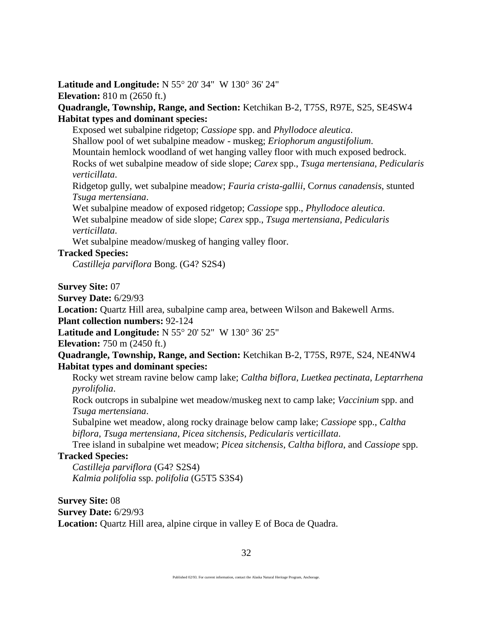# **Latitude and Longitude:** N 55° 20' 34" W 130° 36' 24" **Elevation:** 810 m (2650 ft.)

**Quadrangle, Township, Range, and Section:** Ketchikan B-2, T75S, R97E, S25, SE4SW4 **Habitat types and dominant species:**

Exposed wet subalpine ridgetop; *Cassiope* spp. and *Phyllodoce aleutica*. Shallow pool of wet subalpine meadow - muskeg; *Eriophorum angustifolium*. Mountain hemlock woodland of wet hanging valley floor with much exposed bedrock. Rocks of wet subalpine meadow of side slope; *Carex* spp., *Tsuga mertensiana*, *Pedicularis verticillata*.

Ridgetop gully, wet subalpine meadow; *Fauria crista-gallii*, C*ornus canadensis*, stunted *Tsuga mertensiana*.

Wet subalpine meadow of exposed ridgetop; *Cassiope* spp., *Phyllodoce aleutica*. Wet subalpine meadow of side slope; *Carex* spp., *Tsuga mertensiana*, *Pedicularis verticillata*.

Wet subalpine meadow/muskeg of hanging valley floor.

# **Tracked Species:**

*Castilleja parviflora* Bong. (G4? S2S4)

**Survey Site:** 07

**Survey Date:** 6/29/93

**Location:** Quartz Hill area, subalpine camp area, between Wilson and Bakewell Arms.

**Plant collection numbers:** 92-124

**Latitude and Longitude:** N 55° 20' 52" W 130° 36' 25"

**Elevation:** 750 m (2450 ft.)

**Quadrangle, Township, Range, and Section:** Ketchikan B-2, T75S, R97E, S24, NE4NW4 **Habitat types and dominant species:**

Rocky wet stream ravine below camp lake; *Caltha biflora*, *Luetkea pectinata*, *Leptarrhena pyrolifolia*.

Rock outcrops in subalpine wet meadow/muskeg next to camp lake; *Vaccinium* spp. and *Tsuga mertensiana*.

Subalpine wet meadow, along rocky drainage below camp lake; *Cassiope* spp., *Caltha biflora*, *Tsuga mertensiana*, *Picea sitchensis*, *Pedicularis verticillata*.

Tree island in subalpine wet meadow; *Picea sitchensis*, *Caltha biflora*, and *Cassiope* spp.

# **Tracked Species:**

*Castilleja parviflora* (G4? S2S4) *Kalmia polifolia* ssp. *polifolia* (G5T5 S3S4)

**Survey Site:** 08 **Survey Date:** 6/29/93 **Location:** Quartz Hill area, alpine cirque in valley E of Boca de Quadra.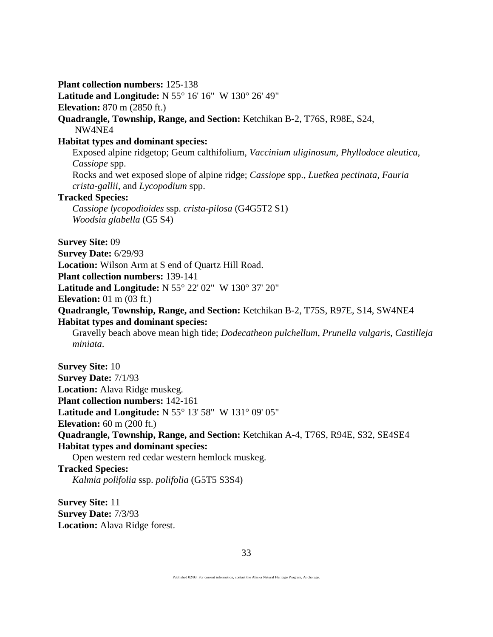**Plant collection numbers:** 125-138 **Latitude and Longitude:** N 55° 16' 16" W 130° 26' 49" **Elevation:** 870 m (2850 ft.) **Quadrangle, Township, Range, and Section:** Ketchikan B-2, T76S, R98E, S24, NW4NE4 **Habitat types and dominant species:** Exposed alpine ridgetop; Geum calthifolium, *Vaccinium uliginosum*, *Phyllodoce aleutica*, *Cassiope* spp. Rocks and wet exposed slope of alpine ridge; *Cassiope* spp., *Luetkea pectinata*, *Fauria crista-gallii*, and *Lycopodium* spp. **Tracked Species:** *Cassiope lycopodioides* ssp. *crista-pilosa* (G4G5T2 S1) *Woodsia glabella* (G5 S4) **Survey Site:** 09 **Survey Date:** 6/29/93 **Location:** Wilson Arm at S end of Quartz Hill Road. **Plant collection numbers:** 139-141 **Latitude and Longitude:** N 55° 22' 02" W 130° 37' 20" **Elevation:** 01 m (03 ft.) **Quadrangle, Township, Range, and Section:** Ketchikan B-2, T75S, R97E, S14, SW4NE4 **Habitat types and dominant species:** Gravelly beach above mean high tide; *Dodecatheon pulchellum*, *Prunella vulgaris*, *Castilleja miniata*. **Survey Site:** 10 **Survey Date:** 7/1/93 **Location:** Alava Ridge muskeg. **Plant collection numbers:** 142-161 **Latitude and Longitude:** N 55° 13' 58" W 131° 09' 05" **Elevation:** 60 m (200 ft.) **Quadrangle, Township, Range, and Section:** Ketchikan A-4, T76S, R94E, S32, SE4SE4 **Habitat types and dominant species:** Open western red cedar western hemlock muskeg. **Tracked Species:** *Kalmia polifolia* ssp. *polifolia* (G5T5 S3S4) **Survey Site:** 11

**Survey Date:** 7/3/93 **Location:** Alava Ridge forest.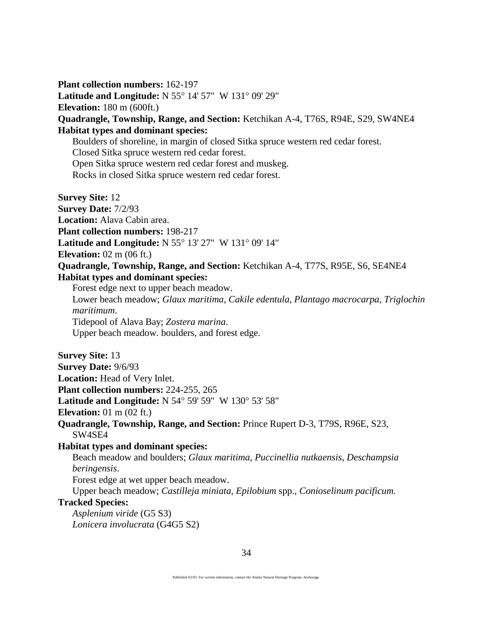**Plant collection numbers:** 162-197 **Latitude and Longitude:** N 55° 14' 57" W 131° 09' 29" **Elevation:** 180 m (600ft.) **Quadrangle, Township, Range, and Section:** Ketchikan A-4, T76S, R94E, S29, SW4NE4 **Habitat types and dominant species:** Boulders of shoreline, in margin of closed Sitka spruce western red cedar forest. Closed Sitka spruce western red cedar forest. Open Sitka spruce western red cedar forest and muskeg. Rocks in closed Sitka spruce western red cedar forest. **Survey Site:** 12 **Survey Date:** 7/2/93 **Location:** Alava Cabin area. **Plant collection numbers:** 198-217 **Latitude and Longitude:** N 55° 13' 27" W 131° 09' 14" **Elevation:** 02 m (06 ft.) **Quadrangle, Township, Range, and Section:** Ketchikan A-4, T77S, R95E, S6, SE4NE4 **Habitat types and dominant species:** Forest edge next to upper beach meadow. Lower beach meadow; *Glaux maritima*, *Cakile edentula*, *Plantago macrocarpa*, *Triglochin maritimum*. Tidepool of Alava Bay; *Zostera marina*. Upper beach meadow. boulders, and forest edge. **Survey Site:** 13 **Survey Date:** 9/6/93 **Location:** Head of Very Inlet. **Plant collection numbers:** 224-255, 265 **Latitude and Longitude:** N 54° 59' 59" W 130° 53' 58" **Elevation:** 01 m (02 ft.) **Quadrangle, Township, Range, and Section:** Prince Rupert D-3, T79S, R96E, S23, SW4SE4 **Habitat types and dominant species:** Beach meadow and boulders; *Glaux maritima*, *Puccinellia nutkaensis*, *Deschampsia beringensis*. Forest edge at wet upper beach meadow. Upper beach meadow; *Castilleja miniata*, *Epilobium* spp., *Conioselinum pacificum*. **Tracked Species:**

*Asplenium viride* (G5 S3) *Lonicera involucrata* (G4G5 S2)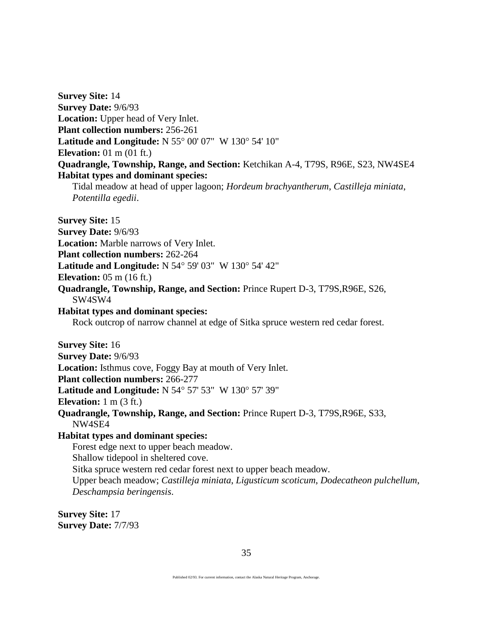**Survey Site:** 14 **Survey Date:** 9/6/93 **Location:** Upper head of Very Inlet. **Plant collection numbers:** 256-261 **Latitude and Longitude:** N 55° 00' 07" W 130° 54' 10" **Elevation:** 01 m (01 ft.) **Quadrangle, Township, Range, and Section:** Ketchikan A-4, T79S, R96E, S23, NW4SE4 **Habitat types and dominant species:**

Tidal meadow at head of upper lagoon; *Hordeum brachyantherum*, *Castilleja miniata*, *Potentilla egedii*.

**Survey Site:** 15

**Survey Date:** 9/6/93

**Location:** Marble narrows of Very Inlet.

**Plant collection numbers:** 262-264

**Latitude and Longitude:** N 54° 59' 03" W 130° 54' 42"

**Elevation:** 05 m (16 ft.)

**Quadrangle, Township, Range, and Section:** Prince Rupert D-3, T79S,R96E, S26, SW4SW4

# **Habitat types and dominant species:**

Rock outcrop of narrow channel at edge of Sitka spruce western red cedar forest.

**Survey Site:** 16

**Survey Date:** 9/6/93

**Location:** Isthmus cove, Foggy Bay at mouth of Very Inlet.

**Plant collection numbers:** 266-277

**Latitude and Longitude:** N 54° 57' 53" W 130° 57' 39"

**Elevation:** 1 m (3 ft.)

**Quadrangle, Township, Range, and Section:** Prince Rupert D-3, T79S,R96E, S33, NW4SE4

### **Habitat types and dominant species:**

Forest edge next to upper beach meadow. Shallow tidepool in sheltered cove. Sitka spruce western red cedar forest next to upper beach meadow. Upper beach meadow; *Castilleja miniata*, *Ligusticum scoticum*, *Dodecatheon pulchellum*, *Deschampsia beringensis*.

**Survey Site:** 17 **Survey Date:** 7/7/93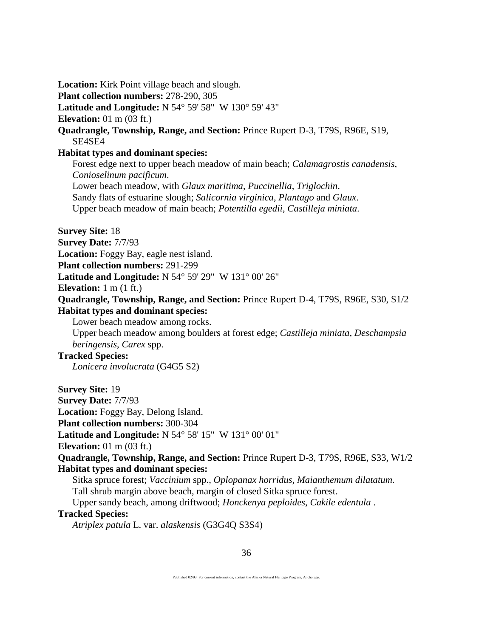**Location:** Kirk Point village beach and slough.

**Plant collection numbers:** 278-290, 305

**Latitude and Longitude:** N 54° 59' 58" W 130° 59' 43"

**Elevation:** 01 m (03 ft.)

**Quadrangle, Township, Range, and Section:** Prince Rupert D-3, T79S, R96E, S19, SE4SE4

#### **Habitat types and dominant species:**

Forest edge next to upper beach meadow of main beach; *Calamagrostis canadensis*, *Conioselinum pacificum*.

Lower beach meadow, with *Glaux maritima*, *Puccinellia*, *Triglochin*. Sandy flats of estuarine slough; *Salicornia virginica*, *Plantago* and *Glaux*. Upper beach meadow of main beach; *Potentilla egedii*, *Castilleja miniata*.

**Survey Site:** 18

**Survey Date:** 7/7/93

**Location:** Foggy Bay, eagle nest island.

**Plant collection numbers:** 291-299

**Latitude and Longitude:** N 54° 59' 29" W 131° 00' 26"

**Elevation:** 1 m (1 ft.)

**Quadrangle, Township, Range, and Section:** Prince Rupert D-4, T79S, R96E, S30, S1/2 **Habitat types and dominant species:**

Lower beach meadow among rocks.

Upper beach meadow among boulders at forest edge; *Castilleja miniata, Deschampsia beringensis*, *Carex* spp.

# **Tracked Species:**

*Lonicera involucrata* (G4G5 S2)

**Survey Site:** 19

**Survey Date:** 7/7/93

**Location:** Foggy Bay, Delong Island.

**Plant collection numbers:** 300-304

**Latitude and Longitude:** N 54° 58' 15" W 131° 00' 01"

**Elevation:** 01 m (03 ft.)

**Quadrangle, Township, Range, and Section:** Prince Rupert D-3, T79S, R96E, S33, W1/2 **Habitat types and dominant species:**

Sitka spruce forest; *Vaccinium* spp., *Oplopanax horridus*, *Maianthemum dilatatum*.

Tall shrub margin above beach, margin of closed Sitka spruce forest.

Upper sandy beach, among driftwood; *Honckenya peploides*, *Cakile edentula* .

# **Tracked Species:**

*Atriplex patula* L. var. *alaskensis* (G3G4Q S3S4)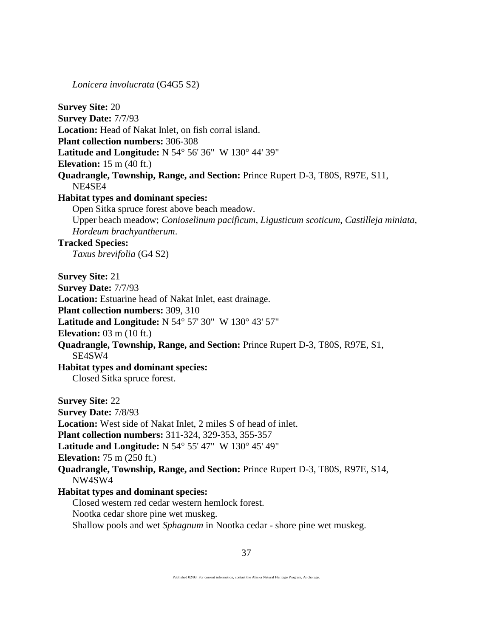*Lonicera involucrata* (G4G5 S2)

**Survey Site:** 20 **Survey Date:** 7/7/93 **Location:** Head of Nakat Inlet, on fish corral island. **Plant collection numbers:** 306-308 **Latitude and Longitude:** N 54° 56' 36" W 130° 44' 39" **Elevation:** 15 m (40 ft.) **Quadrangle, Township, Range, and Section:** Prince Rupert D-3, T80S, R97E, S11, NE4SE4 **Habitat types and dominant species:** Open Sitka spruce forest above beach meadow. Upper beach meadow; *Conioselinum pacificum*, *Ligusticum scoticum*, *Castilleja miniata, Hordeum brachyantherum*. **Tracked Species:** *Taxus brevifolia* (G4 S2) **Survey Site:** 21 **Survey Date:** 7/7/93 **Location:** Estuarine head of Nakat Inlet, east drainage. **Plant collection numbers:** 309, 310 **Latitude and Longitude:** N 54° 57' 30" W 130° 43' 57" **Elevation:** 03 m (10 ft.) **Quadrangle, Township, Range, and Section:** Prince Rupert D-3, T80S, R97E, S1, SE4SW4 **Habitat types and dominant species:** Closed Sitka spruce forest. **Survey Site:** 22 **Survey Date:** 7/8/93 **Location:** West side of Nakat Inlet, 2 miles S of head of inlet. **Plant collection numbers:** 311-324, 329-353, 355-357 **Latitude and Longitude:** N 54° 55' 47" W 130° 45' 49" **Elevation:** 75 m (250 ft.) **Quadrangle, Township, Range, and Section:** Prince Rupert D-3, T80S, R97E, S14, NW4SW4 **Habitat types and dominant species:** Closed western red cedar western hemlock forest. Nootka cedar shore pine wet muskeg. Shallow pools and wet *Sphagnum* in Nootka cedar - shore pine wet muskeg.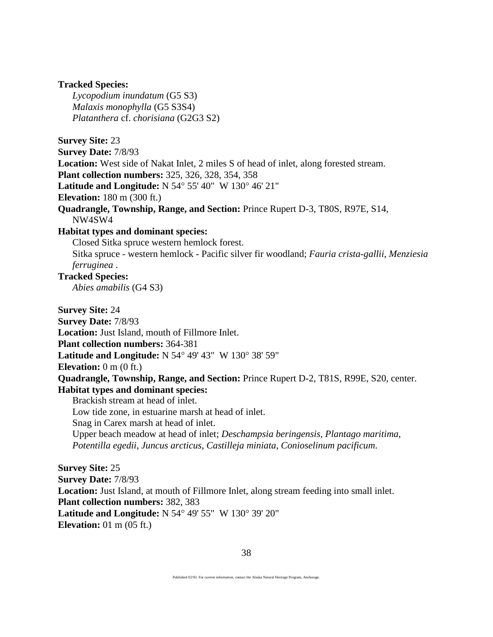#### **Tracked Species:**

*Lycopodium inundatum* (G5 S3) *Malaxis monophylla* (G5 S3S4) *Platanthera* cf. *chorisiana* (G2G3 S2)

**Survey Site:** 23

**Survey Date:** 7/8/93 **Location:** West side of Nakat Inlet, 2 miles S of head of inlet, along forested stream. **Plant collection numbers:** 325, 326, 328, 354, 358 **Latitude and Longitude:** N 54° 55' 40" W 130° 46' 21" **Elevation:** 180 m (300 ft.) **Quadrangle, Township, Range, and Section:** Prince Rupert D-3, T80S, R97E, S14, NW4SW4 **Habitat types and dominant species:** Closed Sitka spruce western hemlock forest.

Sitka spruce - western hemlock - Pacific silver fir woodland; *Fauria crista-gallii*, *Menziesia ferruginea* .

# **Tracked Species:**

*Abies amabilis* (G4 S3)

**Survey Site:** 24

**Survey Date:** 7/8/93

**Location:** Just Island, mouth of Fillmore Inlet.

**Plant collection numbers:** 364-381

**Latitude and Longitude:** N 54° 49' 43" W 130° 38' 59"

**Elevation:** 0 m (0 ft.)

**Quadrangle, Township, Range, and Section:** Prince Rupert D-2, T81S, R99E, S20, center. **Habitat types and dominant species:**

Brackish stream at head of inlet.

Low tide zone, in estuarine marsh at head of inlet.

Snag in Carex marsh at head of inlet.

Upper beach meadow at head of inlet; *Deschampsia beringensis*, *Plantago maritima*, *Potentilla egedii*, *Juncus arcticus*, *Castilleja miniata*, *Conioselinum pacificum*.

**Survey Site:** 25 **Survey Date:** 7/8/93 **Location:** Just Island, at mouth of Fillmore Inlet, along stream feeding into small inlet. **Plant collection numbers:** 382, 383 **Latitude and Longitude:** N 54° 49' 55" W 130° 39' 20" **Elevation:** 01 m (05 ft.)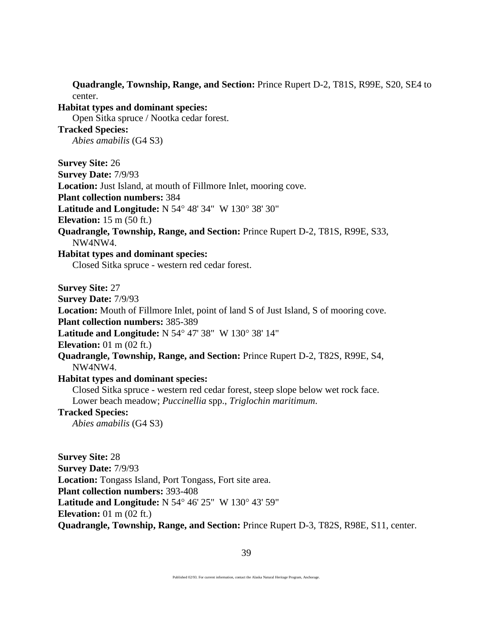**Quadrangle, Township, Range, and Section:** Prince Rupert D-2, T81S, R99E, S20, SE4 to center. **Habitat types and dominant species:**  Open Sitka spruce / Nootka cedar forest. **Tracked Species:** *Abies amabilis* (G4 S3) **Survey Site:** 26 **Survey Date:** 7/9/93 **Location:** Just Island, at mouth of Fillmore Inlet, mooring cove. **Plant collection numbers:** 384 **Latitude and Longitude:** N 54° 48' 34" W 130° 38' 30" **Elevation:** 15 m (50 ft.) **Quadrangle, Township, Range, and Section:** Prince Rupert D-2, T81S, R99E, S33, NW4NW4. **Habitat types and dominant species:** Closed Sitka spruce - western red cedar forest. **Survey Site:** 27 **Survey Date:** 7/9/93 **Location:** Mouth of Fillmore Inlet, point of land S of Just Island, S of mooring cove. **Plant collection numbers:** 385-389 **Latitude and Longitude:** N 54° 47' 38" W 130° 38' 14" **Elevation:** 01 m (02 ft.) **Quadrangle, Township, Range, and Section:** Prince Rupert D-2, T82S, R99E, S4, NW4NW4. **Habitat types and dominant species:** Closed Sitka spruce - western red cedar forest, steep slope below wet rock face. Lower beach meadow; *Puccinellia* spp., *Triglochin maritimum*. **Tracked Species:** *Abies amabilis* (G4 S3)

**Survey Site:** 28 **Survey Date:** 7/9/93 **Location:** Tongass Island, Port Tongass, Fort site area. **Plant collection numbers:** 393-408 **Latitude and Longitude:** N 54° 46' 25" W 130° 43' 59" **Elevation:** 01 m (02 ft.) **Quadrangle, Township, Range, and Section:** Prince Rupert D-3, T82S, R98E, S11, center.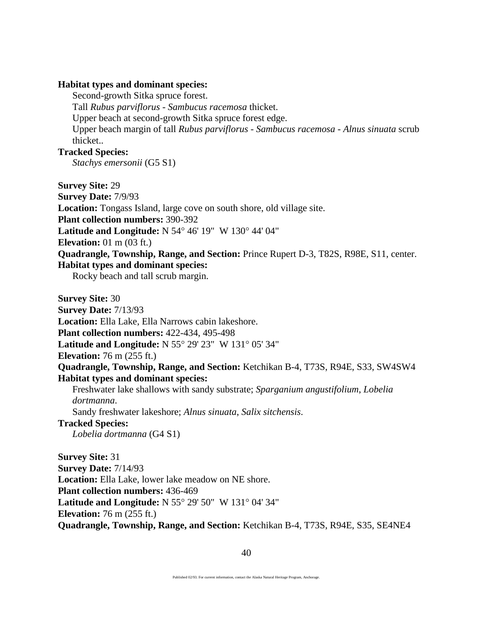#### **Habitat types and dominant species:**

Second-growth Sitka spruce forest.

Tall *Rubus parviflorus* - *Sambucus racemosa* thicket.

Upper beach at second-growth Sitka spruce forest edge.

Upper beach margin of tall *Rubus parviflorus* - *Sambucus racemosa* - *Alnus sinuata* scrub thicket..

# **Tracked Species:**

*Stachys emersonii* (G5 S1)

**Survey Site:** 29

**Survey Date:** 7/9/93

**Location:** Tongass Island, large cove on south shore, old village site.

**Plant collection numbers:** 390-392

**Latitude and Longitude:** N 54° 46' 19" W 130° 44' 04"

**Elevation:** 01 m (03 ft.)

**Quadrangle, Township, Range, and Section:** Prince Rupert D-3, T82S, R98E, S11, center. **Habitat types and dominant species:**

Rocky beach and tall scrub margin.

**Survey Site:** 30

**Survey Date:** 7/13/93

**Location:** Ella Lake, Ella Narrows cabin lakeshore.

**Plant collection numbers:** 422-434, 495-498

**Latitude and Longitude:** N 55° 29' 23" W 131° 05' 34"

**Elevation:** 76 m (255 ft.)

# **Quadrangle, Township, Range, and Section:** Ketchikan B-4, T73S, R94E, S33, SW4SW4 **Habitat types and dominant species:**

Freshwater lake shallows with sandy substrate; *Sparganium angustifolium*, *Lobelia dortmanna*.

Sandy freshwater lakeshore; *Alnus sinuata*, *Salix sitchensis*.

# **Tracked Species:**

*Lobelia dortmanna* (G4 S1)

**Survey Site:** 31 **Survey Date:** 7/14/93 **Location:** Ella Lake, lower lake meadow on NE shore. **Plant collection numbers:** 436-469 **Latitude and Longitude:** N 55° 29' 50" W 131° 04' 34" **Elevation:** 76 m (255 ft.) **Quadrangle, Township, Range, and Section:** Ketchikan B-4, T73S, R94E, S35, SE4NE4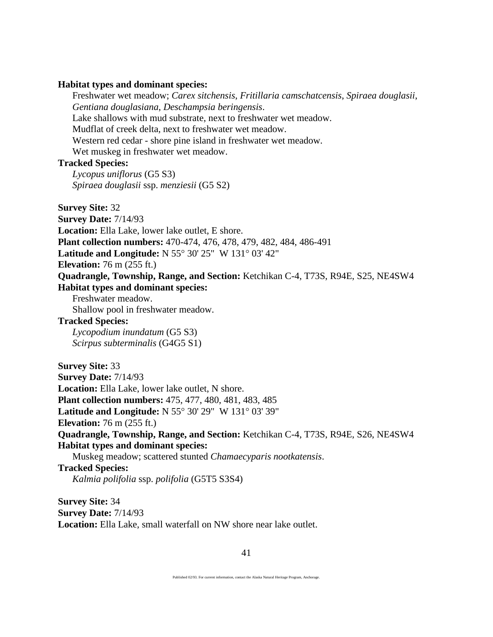#### **Habitat types and dominant species:**

Freshwater wet meadow; *Carex sitchensis*, *Fritillaria camschatcensis*, *Spiraea douglasii*, *Gentiana douglasiana*, *Deschampsia beringensis*. Lake shallows with mud substrate, next to freshwater wet meadow. Mudflat of creek delta, next to freshwater wet meadow. Western red cedar - shore pine island in freshwater wet meadow. Wet muskeg in freshwater wet meadow. **Tracked Species:**

*Lycopus uniflorus* (G5 S3) *Spiraea douglasii* ssp. *menziesii* (G5 S2)

**Survey Site:** 32

**Survey Date:** 7/14/93

**Location:** Ella Lake, lower lake outlet, E shore.

**Plant collection numbers:** 470-474, 476, 478, 479, 482, 484, 486-491

**Latitude and Longitude:** N 55° 30' 25" W 131° 03' 42"

**Elevation:** 76 m (255 ft.)

**Quadrangle, Township, Range, and Section:** Ketchikan C-4, T73S, R94E, S25, NE4SW4 **Habitat types and dominant species:**

Freshwater meadow.

Shallow pool in freshwater meadow.

# **Tracked Species:**

*Lycopodium inundatum* (G5 S3) *Scirpus subterminalis* (G4G5 S1)

**Survey Site:** 33 **Survey Date:** 7/14/93 **Location:** Ella Lake, lower lake outlet, N shore. **Plant collection numbers:** 475, 477, 480, 481, 483, 485 **Latitude and Longitude:** N 55° 30' 29" W 131° 03' 39" **Elevation:** 76 m (255 ft.) **Quadrangle, Township, Range, and Section:** Ketchikan C-4, T73S, R94E, S26, NE4SW4 **Habitat types and dominant species:** Muskeg meadow; scattered stunted *Chamaecyparis nootkatensis*.

**Tracked Species:**

*Kalmia polifolia* ssp. *polifolia* (G5T5 S3S4)

**Survey Site:** 34 **Survey Date:** 7/14/93 **Location:** Ella Lake, small waterfall on NW shore near lake outlet.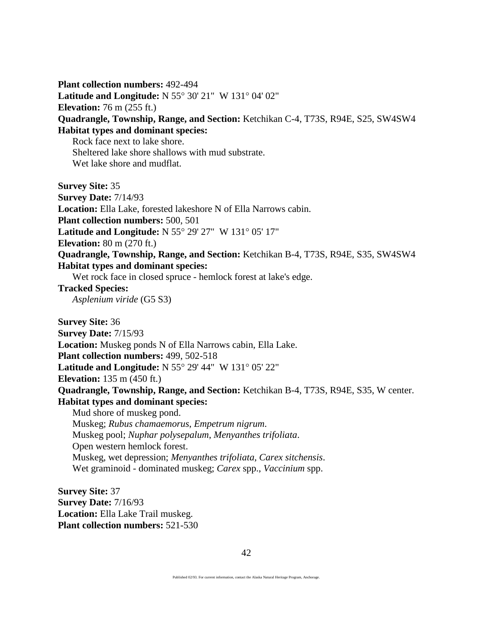**Plant collection numbers:** 492-494 **Latitude and Longitude:** N 55° 30' 21" W 131° 04' 02" **Elevation:** 76 m (255 ft.) **Quadrangle, Township, Range, and Section:** Ketchikan C-4, T73S, R94E, S25, SW4SW4 **Habitat types and dominant species:** Rock face next to lake shore. Sheltered lake shore shallows with mud substrate. Wet lake shore and mudflat. **Survey Site:** 35 **Survey Date:** 7/14/93 **Location:** Ella Lake, forested lakeshore N of Ella Narrows cabin. **Plant collection numbers:** 500, 501 **Latitude and Longitude:** N 55° 29' 27" W 131° 05' 17" **Elevation:** 80 m (270 ft.) **Quadrangle, Township, Range, and Section:** Ketchikan B-4, T73S, R94E, S35, SW4SW4 **Habitat types and dominant species:** Wet rock face in closed spruce - hemlock forest at lake's edge. **Tracked Species:** *Asplenium viride* (G5 S3) **Survey Site:** 36 **Survey Date:** 7/15/93 **Location:** Muskeg ponds N of Ella Narrows cabin, Ella Lake. **Plant collection numbers:** 499, 502-518 **Latitude and Longitude:** N 55° 29' 44" W 131° 05' 22" **Elevation:** 135 m (450 ft.) **Quadrangle, Township, Range, and Section:** Ketchikan B-4, T73S, R94E, S35, W center. **Habitat types and dominant species:** Mud shore of muskeg pond. Muskeg; *Rubus chamaemorus*, *Empetrum nigrum*. Muskeg pool; *Nuphar polysepalum*, *Menyanthes trifoliata*. Open western hemlock forest. Muskeg, wet depression; *Menyanthes trifoliata*, *Carex sitchensis*. Wet graminoid - dominated muskeg; *Carex* spp., *Vaccinium* spp. **Survey Site:** 37 **Survey Date:** 7/16/93 **Location:** Ella Lake Trail muskeg.

**Plant collection numbers:** 521-530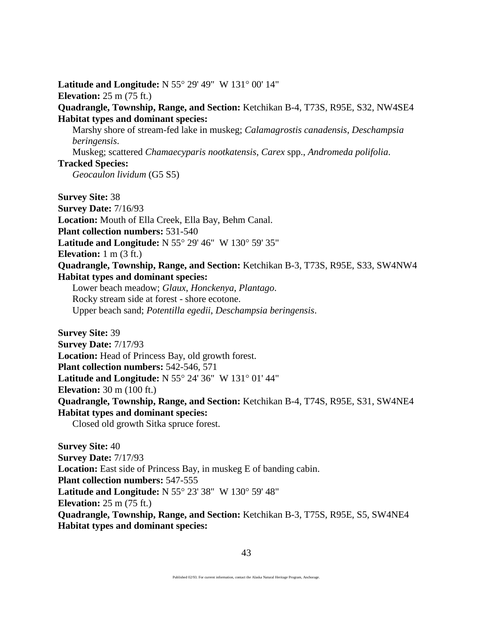**Latitude and Longitude:** N 55° 29' 49" W 131° 00' 14" **Elevation:** 25 m (75 ft.) **Quadrangle, Township, Range, and Section:** Ketchikan B-4, T73S, R95E, S32, NW4SE4 **Habitat types and dominant species:** Marshy shore of stream-fed lake in muskeg; *Calamagrostis canadensis*, *Deschampsia beringensis*. Muskeg; scattered *Chamaecyparis nootkatensis*, *Carex* spp., *Andromeda polifolia*. **Tracked Species:** *Geocaulon lividum* (G5 S5) **Survey Site:** 38 **Survey Date:** 7/16/93 **Location:** Mouth of Ella Creek, Ella Bay, Behm Canal. **Plant collection numbers:** 531-540 **Latitude and Longitude:** N 55° 29' 46" W 130° 59' 35" **Elevation:** 1 m (3 ft.) **Quadrangle, Township, Range, and Section:** Ketchikan B-3, T73S, R95E, S33, SW4NW4 **Habitat types and dominant species:** Lower beach meadow; *Glaux*, *Honckenya*, *Plantago*. Rocky stream side at forest - shore ecotone. Upper beach sand; *Potentilla egedii*, *Deschampsia beringensis*. **Survey Site:** 39 **Survey Date:** 7/17/93 **Location:** Head of Princess Bay, old growth forest. **Plant collection numbers:** 542-546, 571 **Latitude and Longitude:** N 55° 24' 36" W 131° 01' 44" **Elevation:** 30 m (100 ft.) **Quadrangle, Township, Range, and Section:** Ketchikan B-4, T74S, R95E, S31, SW4NE4 **Habitat types and dominant species:** Closed old growth Sitka spruce forest. **Survey Site:** 40 **Survey Date:** 7/17/93 **Location:** East side of Princess Bay, in muskeg E of banding cabin.

**Plant collection numbers:** 547-555

**Latitude and Longitude:** N 55° 23' 38" W 130° 59' 48"

**Elevation:** 25 m (75 ft.)

**Quadrangle, Township, Range, and Section:** Ketchikan B-3, T75S, R95E, S5, SW4NE4 **Habitat types and dominant species:**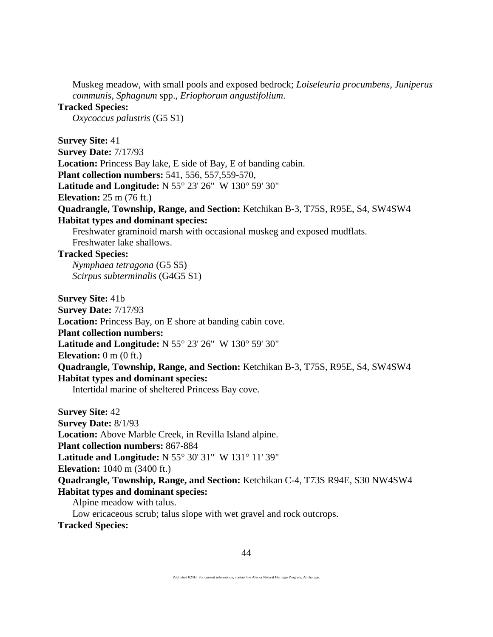Muskeg meadow, with small pools and exposed bedrock; *Loiseleuria procumbens*, *Juniperus communis*, *Sphagnum* spp., *Eriophorum angustifolium*.

# **Tracked Species:**

*Oxycoccus palustris* (G5 S1)

**Survey Site:** 41

**Survey Date:** 7/17/93 **Location:** Princess Bay lake, E side of Bay, E of banding cabin. **Plant collection numbers:** 541, 556, 557,559-570, **Latitude and Longitude:** N 55° 23' 26" W 130° 59' 30" **Elevation:** 25 m (76 ft.) **Quadrangle, Township, Range, and Section:** Ketchikan B-3, T75S, R95E, S4, SW4SW4 **Habitat types and dominant species:** Freshwater graminoid marsh with occasional muskeg and exposed mudflats. Freshwater lake shallows.

### **Tracked Species:**

*Nymphaea tetragona* (G5 S5) *Scirpus subterminalis* (G4G5 S1)

**Survey Site:** 41b

**Survey Date:** 7/17/93

**Location:** Princess Bay, on E shore at banding cabin cove.

**Plant collection numbers:**

**Latitude and Longitude:** N 55° 23' 26" W 130° 59' 30"

**Elevation:** 0 m (0 ft.)

**Quadrangle, Township, Range, and Section:** Ketchikan B-3, T75S, R95E, S4, SW4SW4 **Habitat types and dominant species:**

Intertidal marine of sheltered Princess Bay cove.

**Survey Site:** 42 **Survey Date:** 8/1/93 **Location:** Above Marble Creek, in Revilla Island alpine. **Plant collection numbers:** 867-884 **Latitude and Longitude:** N 55° 30' 31" W 131° 11' 39" **Elevation:** 1040 m (3400 ft.) **Quadrangle, Township, Range, and Section:** Ketchikan C-4, T73S R94E, S30 NW4SW4 **Habitat types and dominant species:** Alpine meadow with talus. Low ericaceous scrub; talus slope with wet gravel and rock outcrops.

**Tracked Species:**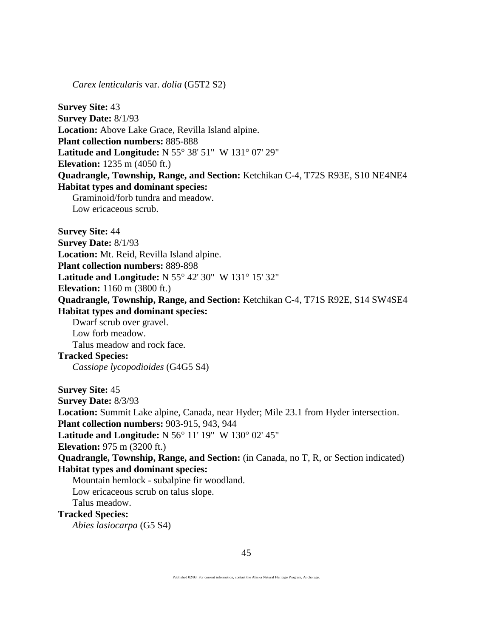*Carex lenticularis* var. *dolia* (G5T2 S2)

**Survey Site:** 43 **Survey Date:** 8/1/93 **Location:** Above Lake Grace, Revilla Island alpine. **Plant collection numbers:** 885-888 **Latitude and Longitude:** N 55° 38' 51" W 131° 07' 29" **Elevation:** 1235 m (4050 ft.) **Quadrangle, Township, Range, and Section:** Ketchikan C-4, T72S R93E, S10 NE4NE4 **Habitat types and dominant species:** Graminoid/forb tundra and meadow. Low ericaceous scrub. **Survey Site:** 44 **Survey Date:** 8/1/93 **Location:** Mt. Reid, Revilla Island alpine. **Plant collection numbers:** 889-898 **Latitude and Longitude:** N 55° 42' 30" W 131° 15' 32" **Elevation:** 1160 m (3800 ft.) **Quadrangle, Township, Range, and Section:** Ketchikan C-4, T71S R92E, S14 SW4SE4 **Habitat types and dominant species:** Dwarf scrub over gravel. Low forb meadow. Talus meadow and rock face. **Tracked Species:** *Cassiope lycopodioides* (G4G5 S4) **Survey Site:** 45 **Survey Date:** 8/3/93 **Location:** Summit Lake alpine, Canada, near Hyder; Mile 23.1 from Hyder intersection. **Plant collection numbers:** 903-915, 943, 944 **Latitude and Longitude:** N 56° 11' 19" W 130° 02' 45" **Elevation:** 975 m (3200 ft.) **Quadrangle, Township, Range, and Section:** (in Canada, no T, R, or Section indicated) **Habitat types and dominant species:** Mountain hemlock - subalpine fir woodland. Low ericaceous scrub on talus slope. Talus meadow. **Tracked Species:**

*Abies lasiocarpa* (G5 S4)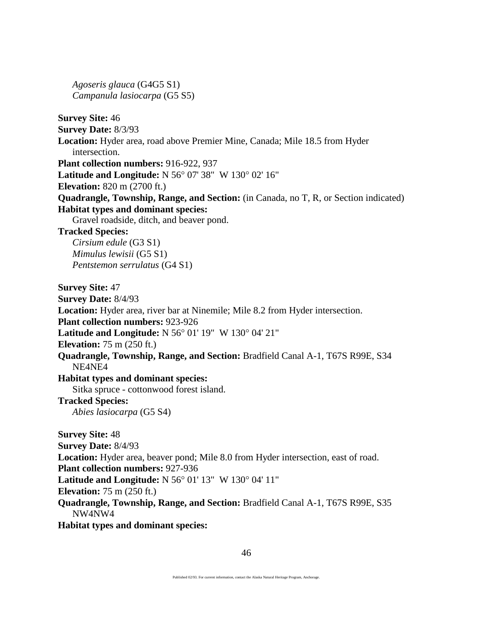*Agoseris glauca* (G4G5 S1) *Campanula lasiocarpa* (G5 S5)

**Survey Site:** 46 **Survey Date:** 8/3/93 **Location:** Hyder area, road above Premier Mine, Canada; Mile 18.5 from Hyder intersection. **Plant collection numbers:** 916-922, 937 **Latitude and Longitude:** N 56° 07' 38" W 130° 02' 16" **Elevation:** 820 m (2700 ft.) **Quadrangle, Township, Range, and Section:** (in Canada, no T, R, or Section indicated) **Habitat types and dominant species:** Gravel roadside, ditch, and beaver pond. **Tracked Species:** *Cirsium edule* (G3 S1) *Mimulus lewisii* (G5 S1) *Pentstemon serrulatus* (G4 S1) **Survey Site:** 47 **Survey Date:** 8/4/93 **Location:** Hyder area, river bar at Ninemile; Mile 8.2 from Hyder intersection. **Plant collection numbers:** 923-926 **Latitude and Longitude:** N 56° 01' 19" W 130° 04' 21" **Elevation:** 75 m (250 ft.) **Quadrangle, Township, Range, and Section:** Bradfield Canal A-1, T67S R99E, S34 NE4NE4 **Habitat types and dominant species:** Sitka spruce - cottonwood forest island. **Tracked Species:** *Abies lasiocarpa* (G5 S4) **Survey Site:** 48 **Survey Date:** 8/4/93 **Location:** Hyder area, beaver pond; Mile 8.0 from Hyder intersection, east of road. **Plant collection numbers:** 927-936 **Latitude and Longitude:** N 56° 01' 13" W 130° 04' 11" **Elevation:** 75 m (250 ft.) **Quadrangle, Township, Range, and Section:** Bradfield Canal A-1, T67S R99E, S35 NW4NW4 **Habitat types and dominant species:**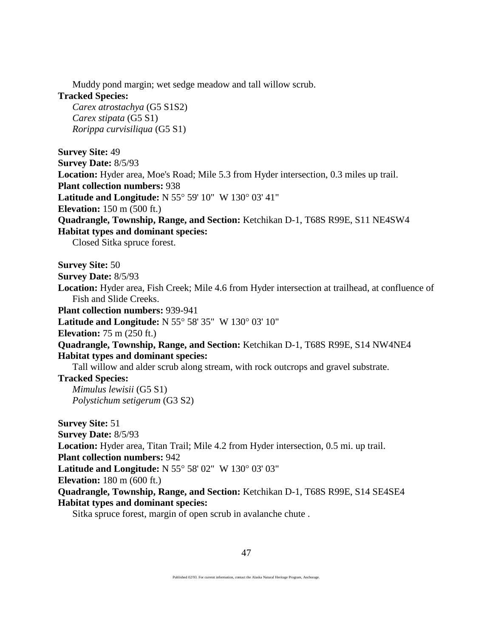Muddy pond margin; wet sedge meadow and tall willow scrub.

# **Tracked Species:**

*Carex atrostachya* (G5 S1S2) *Carex stipata* (G5 S1) *Rorippa curvisiliqua* (G5 S1)

**Survey Site:** 49 **Survey Date:** 8/5/93 **Location:** Hyder area, Moe's Road; Mile 5.3 from Hyder intersection, 0.3 miles up trail. **Plant collection numbers:** 938 **Latitude and Longitude:** N 55° 59' 10" W 130° 03' 41" **Elevation:** 150 m (500 ft.) **Quadrangle, Township, Range, and Section:** Ketchikan D-1, T68S R99E, S11 NE4SW4 **Habitat types and dominant species:**

Closed Sitka spruce forest.

**Survey Site:** 50

- **Survey Date:** 8/5/93
- **Location:** Hyder area, Fish Creek; Mile 4.6 from Hyder intersection at trailhead, at confluence of Fish and Slide Creeks.

**Plant collection numbers:** 939-941

**Latitude and Longitude:** N 55° 58' 35" W 130° 03' 10"

**Elevation:** 75 m (250 ft.)

**Quadrangle, Township, Range, and Section:** Ketchikan D-1, T68S R99E, S14 NW4NE4 **Habitat types and dominant species:**

Tall willow and alder scrub along stream, with rock outcrops and gravel substrate.

**Tracked Species:**

*Mimulus lewisii* (G5 S1) *Polystichum setigerum* (G3 S2)

**Survey Site:** 51 **Survey Date:** 8/5/93 **Location:** Hyder area, Titan Trail; Mile 4.2 from Hyder intersection, 0.5 mi. up trail. **Plant collection numbers:** 942 **Latitude and Longitude:** N 55° 58' 02" W 130° 03' 03" **Elevation:** 180 m (600 ft.) **Quadrangle, Township, Range, and Section:** Ketchikan D-1, T68S R99E, S14 SE4SE4 **Habitat types and dominant species:**

Sitka spruce forest, margin of open scrub in avalanche chute .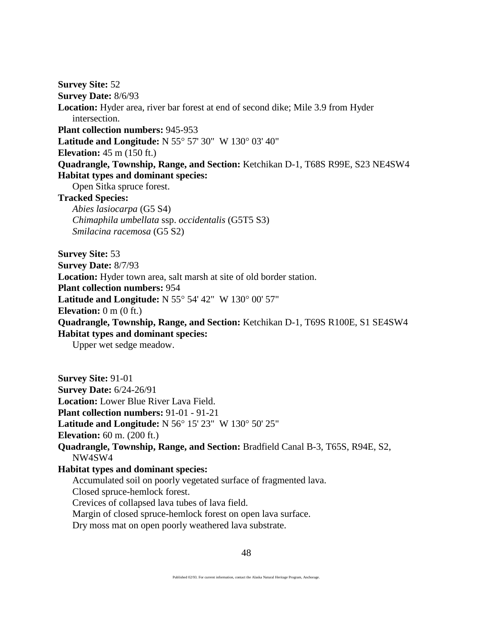**Survey Site:** 52 **Survey Date:** 8/6/93 **Location:** Hyder area, river bar forest at end of second dike; Mile 3.9 from Hyder intersection. **Plant collection numbers:** 945-953 **Latitude and Longitude:** N 55° 57' 30" W 130° 03' 40" **Elevation:** 45 m (150 ft.) **Quadrangle, Township, Range, and Section:** Ketchikan D-1, T68S R99E, S23 NE4SW4 **Habitat types and dominant species:** Open Sitka spruce forest. **Tracked Species:** *Abies lasiocarpa* (G5 S4)

*Chimaphila umbellata* ssp. *occidentalis* (G5T5 S3) *Smilacina racemosa* (G5 S2)

**Survey Site:** 53 **Survey Date:** 8/7/93 **Location:** Hyder town area, salt marsh at site of old border station. **Plant collection numbers:** 954 **Latitude and Longitude:** N 55° 54' 42" W 130° 00' 57" **Elevation:** 0 m (0 ft.) **Quadrangle, Township, Range, and Section:** Ketchikan D-1, T69S R100E, S1 SE4SW4 **Habitat types and dominant species:**

Upper wet sedge meadow.

**Survey Site:** 91-01 **Survey Date:** 6/24-26/91 **Location:** Lower Blue River Lava Field. **Plant collection numbers:** 91-01 - 91-21 **Latitude and Longitude:** N 56° 15' 23" W 130° 50' 25" **Elevation:** 60 m. (200 ft.) **Quadrangle, Township, Range, and Section:** Bradfield Canal B-3, T65S, R94E, S2, NW4SW4 **Habitat types and dominant species:** Accumulated soil on poorly vegetated surface of fragmented lava. Closed spruce-hemlock forest. Crevices of collapsed lava tubes of lava field. Margin of closed spruce-hemlock forest on open lava surface. Dry moss mat on open poorly weathered lava substrate.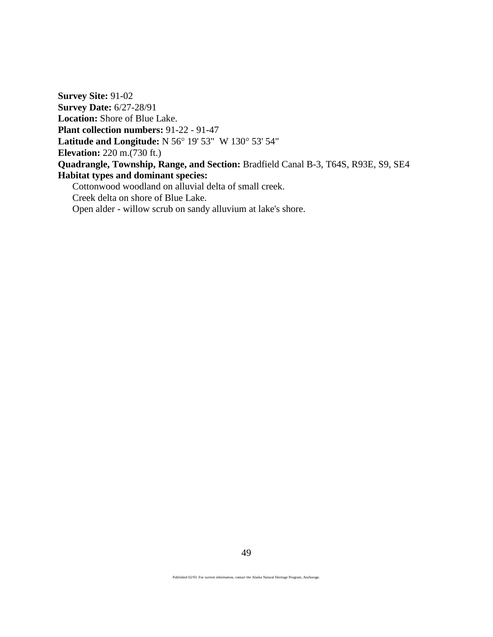**Survey Site:** 91-02 **Survey Date:** 6/27-28/91 **Location:** Shore of Blue Lake. **Plant collection numbers:** 91-22 - 91-47 **Latitude and Longitude:** N 56° 19' 53" W 130° 53' 54" **Elevation:** 220 m.(730 ft.) **Quadrangle, Township, Range, and Section:** Bradfield Canal B-3, T64S, R93E, S9, SE4 **Habitat types and dominant species:** Cottonwood woodland on alluvial delta of small creek.

Creek delta on shore of Blue Lake.

Open alder - willow scrub on sandy alluvium at lake's shore.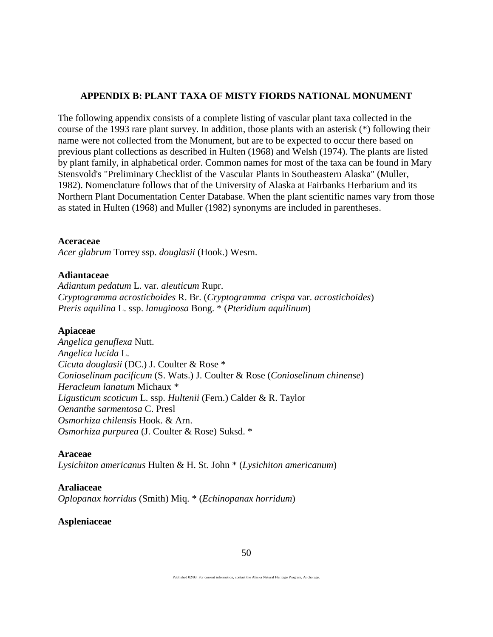# **APPENDIX B: PLANT TAXA OF MISTY FIORDS NATIONAL MONUMENT**

The following appendix consists of a complete listing of vascular plant taxa collected in the course of the 1993 rare plant survey. In addition, those plants with an asterisk (\*) following their name were not collected from the Monument, but are to be expected to occur there based on previous plant collections as described in Hulten (1968) and Welsh (1974). The plants are listed by plant family, in alphabetical order. Common names for most of the taxa can be found in Mary Stensvold's "Preliminary Checklist of the Vascular Plants in Southeastern Alaska" (Muller, 1982). Nomenclature follows that of the University of Alaska at Fairbanks Herbarium and its Northern Plant Documentation Center Database. When the plant scientific names vary from those as stated in Hulten (1968) and Muller (1982) synonyms are included in parentheses.

# **Aceraceae**

*Acer glabrum* Torrey ssp. *douglasii* (Hook.) Wesm.

# **Adiantaceae**

*Adiantum pedatum* L. var. *aleuticum* Rupr. *Cryptogramma acrostichoides* R. Br. (*Cryptogramma crispa* var. *acrostichoides*) *Pteris aquilina* L. ssp. *lanuginosa* Bong. \* (*Pteridium aquilinum*)

# **Apiaceae**

*Angelica genuflexa* Nutt. *Angelica lucida* L. *Cicuta douglasii* (DC.) J. Coulter & Rose \* *Conioselinum pacificum* (S. Wats.) J. Coulter & Rose (*Conioselinum chinense*) *Heracleum lanatum* Michaux \* *Ligusticum scoticum* L. ssp. *Hultenii* (Fern.) Calder & R. Taylor *Oenanthe sarmentosa* C. Presl *Osmorhiza chilensis* Hook. & Arn. *Osmorhiza purpurea* (J. Coulter & Rose) Suksd. \*

# **Araceae**

*Lysichiton americanus* Hulten & H. St. John \* (*Lysichiton americanum*)

# **Araliaceae**

*Oplopanax horridus* (Smith) Miq. \* (*Echinopanax horridum*)

### **Aspleniaceae**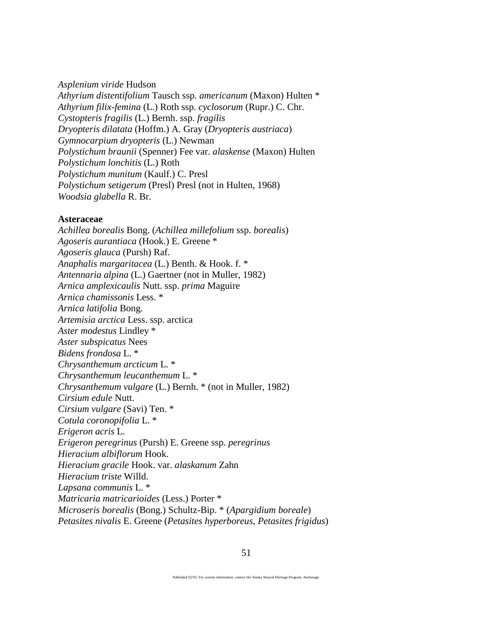*Asplenium viride* Hudson *Athyrium distentifolium* Tausch ssp. *americanum* (Maxon) Hulten \* *Athyrium filix*-*femina* (L.) Roth ssp. *cyclosorum* (Rupr.) C. Chr. *Cystopteris fragilis* (L.) Bernh. ssp. *fragilis Dryopteris dilatata* (Hoffm.) A. Gray (*Dryopteris austriaca*) *Gymnocarpium dryopteris* (L.) Newman *Polystichum braunii* (Spenner) Fee var. *alaskense* (Maxon) Hulten *Polystichum lonchitis* (L.) Roth *Polystichum munitum* (Kaulf.) C. Presl *Polystichum setigerum* (Presl) Presl (not in Hulten, 1968) *Woodsia glabella* R. Br.

#### **Asteraceae**

*Achillea borealis* Bong. (*Achillea millefolium* ssp. *borealis*) *Agoseris aurantiaca* (Hook.) E. Greene \* *Agoseris glauca* (Pursh) Raf. *Anaphalis margaritacea* (L.) Benth. & Hook. f. \* *Antennaria alpina* (L.) Gaertner (not in Muller, 1982) *Arnica amplexicaulis* Nutt. ssp. *prima* Maguire *Arnica chamissonis* Less. \* *Arnica latifolia* Bong. *Artemisia arctica* Less. ssp. arctica *Aster modestus* Lindley \* *Aster subspicatus* Nees *Bidens frondosa* L. \* *Chrysanthemum arcticum* L. \* *Chrysanthemum leucanthemum* L. \* *Chrysanthemum vulgare* (L.) Bernh. \* (not in Muller, 1982) *Cirsium edule* Nutt. *Cirsium vulgare* (Savi) Ten. \* *Cotula coronopifolia* L. \* *Erigeron acris* L. *Erigeron peregrinus* (Pursh) E. Greene ssp. *peregrinus Hieracium albiflorum* Hook. *Hieracium gracile* Hook. var. *alaskanum* Zahn *Hieracium triste* Willd. *Lapsana communis* L. \* *Matricaria matricarioides* (Less.) Porter \* *Microseris borealis* (Bong.) Schultz-Bip. \* (*Apargidium boreale*) *Petasites nivalis* E. Greene (*Petasites hyperboreus*, *Petasites frigidus*)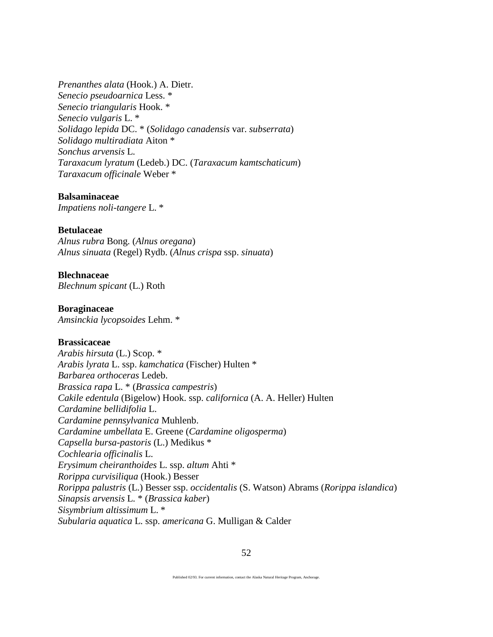*Prenanthes alata* (Hook.) A. Dietr. *Senecio pseudoarnica* Less. \* *Senecio triangularis* Hook. \* *Senecio vulgaris* L. \* *Solidago lepida* DC. \* (*Solidago canadensis* var. *subserrata*) *Solidago multiradiata* Aiton \* *Sonchus arvensis* L. *Taraxacum lyratum* (Ledeb.) DC. (*Taraxacum kamtschaticum*) *Taraxacum officinale* Weber \*

#### **Balsaminaceae**

*Impatiens noli-tangere* L. \*

# **Betulaceae**

*Alnus rubra* Bong. (*Alnus oregana*) *Alnus sinuata* (Regel) Rydb. (*Alnus crispa* ssp. *sinuata*)

### **Blechnaceae**

*Blechnum spicant* (L.) Roth

#### **Boraginaceae**

*Amsinckia lycopsoides* Lehm. \*

#### **Brassicaceae**

*Arabis hirsuta* (L.) Scop. \* *Arabis lyrata* L. ssp. *kamchatica* (Fischer) Hulten \* *Barbarea orthoceras* Ledeb. *Brassica rapa* L. \* (*Brassica campestris*) *Cakile edentula* (Bigelow) Hook. ssp. *californica* (A. A. Heller) Hulten *Cardamine bellidifolia* L. *Cardamine pennsylvanica* Muhlenb. *Cardamine umbellata* E. Greene (*Cardamine oligosperma*) *Capsella bursa-pastoris* (L.) Medikus \* *Cochlearia officinalis* L. *Erysimum cheiranthoides* L. ssp. *altum* Ahti \* *Rorippa curvisiliqua* (Hook.) Besser *Rorippa palustris* (L.) Besser ssp. *occidentalis* (S. Watson) Abrams (*Rorippa islandica*) *Sinapsis arvensis* L. \* (*Brassica kaber*) *Sisymbrium altissimum* L. \* *Subularia aquatica* L. ssp. *americana* G. Mulligan & Calder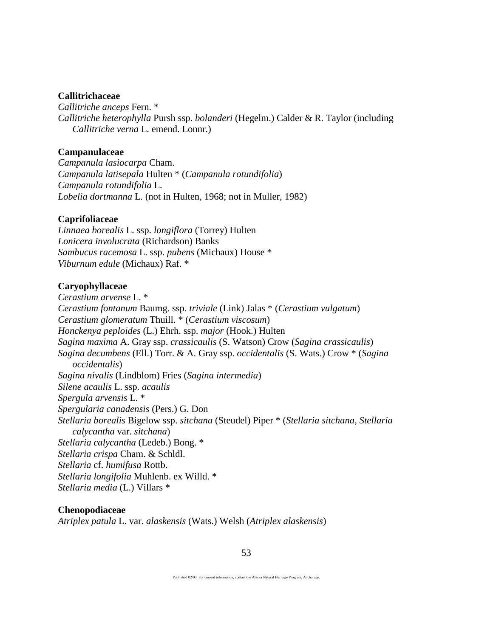#### **Callitrichaceae**

*Callitriche anceps* Fern. \* *Callitriche heterophylla* Pursh ssp. *bolanderi* (Hegelm.) Calder & R. Taylor (including *Callitriche verna* L. emend. Lonnr.)

### **Campanulaceae**

*Campanula lasiocarpa* Cham. *Campanula latisepala* Hulten \* (*Campanula rotundifolia*) *Campanula rotundifolia* L. *Lobelia dortmanna* L. (not in Hulten, 1968; not in Muller, 1982)

### **Caprifoliaceae**

*Linnaea borealis* L. ssp. *longiflora* (Torrey) Hulten *Lonicera involucrata* (Richardson) Banks *Sambucus racemosa* L. ssp. *pubens* (Michaux) House \* *Viburnum edule* (Michaux) Raf. \*

#### **Caryophyllaceae**

*Cerastium arvense* L. \* *Cerastium fontanum* Baumg. ssp. *triviale* (Link) Jalas \* (*Cerastium vulgatum*) *Cerastium glomeratum* Thuill. \* (*Cerastium viscosum*) *Honckenya peploides* (L.) Ehrh. ssp. *major* (Hook.) Hulten *Sagina maxima* A. Gray ssp. *crassicaulis* (S. Watson) Crow (*Sagina crassicaulis*) *Sagina decumbens* (Ell.) Torr. & A. Gray ssp. *occidentalis* (S. Wats.) Crow \* (*Sagina occidentalis*) *Sagina nivalis* (Lindblom) Fries (*Sagina intermedia*) *Silene acaulis* L. ssp. *acaulis Spergula arvensis* L. \* *Spergularia canadensis* (Pers.) G. Don *Stellaria borealis* Bigelow ssp. *sitchana* (Steudel) Piper \* (*Stellaria sitchana*, *Stellaria calycantha* var. *sitchana*) *Stellaria calycantha* (Ledeb.) Bong. \* *Stellaria crispa* Cham. & Schldl. *Stellaria* cf. *humifusa* Rottb. *Stellaria longifolia* Muhlenb. ex Willd. \* *Stellaria media* (L.) Villars \*

#### **Chenopodiaceae**

*Atriplex patula* L. var. *alaskensis* (Wats.) Welsh (*Atriplex alaskensis*)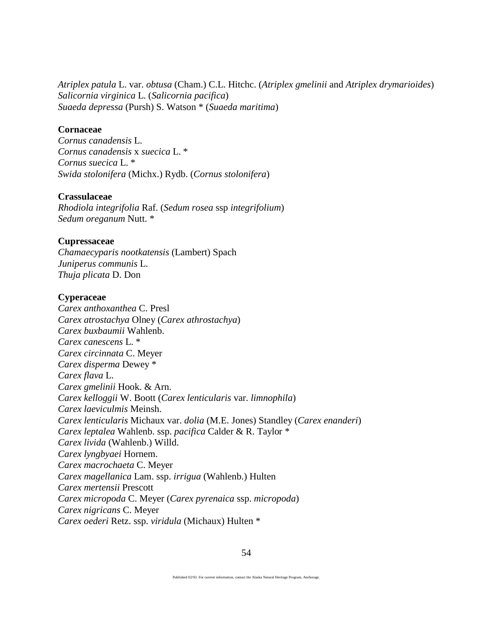*Atriplex patula* L. var. *obtusa* (Cham.) C.L. Hitchc. (*Atriplex gmelinii* and *Atriplex drymarioides*) *Salicornia virginica* L. (*Salicornia pacifica*) *Suaeda depressa* (Pursh) S. Watson \* (*Suaeda maritima*)

#### **Cornaceae**

*Cornus canadensis* L. *Cornus canadensis* x *suecica* L. \* *Cornus suecica* L. \* *Swida stolonifera* (Michx.) Rydb. (*Cornus stolonifera*)

# **Crassulaceae**

*Rhodiola integrifolia* Raf. (*Sedum rosea* ssp *integrifolium*) *Sedum oreganum* Nutt. \*

#### **Cupressaceae**

*Chamaecyparis nootkatensis* (Lambert) Spach *Juniperus communis* L. *Thuja plicata* D. Don

#### **Cyperaceae**

*Carex anthoxanthea* C. Presl *Carex atrostachya* Olney (*Carex athrostachya*) *Carex buxbaumii* Wahlenb. *Carex canescens* L. \* *Carex circinnata* C. Meyer *Carex disperma* Dewey \* *Carex flava* L. *Carex gmelinii* Hook. & Arn. *Carex kelloggii* W. Boott (*Carex lenticularis* var. *limnophila*) *Carex laeviculmis* Meinsh. *Carex lenticularis* Michaux var. *dolia* (M.E. Jones) Standley (*Carex enanderi*) *Carex leptalea* Wahlenb. ssp. *pacifica* Calder & R. Taylor \* *Carex livida* (Wahlenb.) Willd. *Carex lyngbyaei* Hornem. *Carex macrochaeta* C. Meyer *Carex magellanica* Lam. ssp. *irrigua* (Wahlenb.) Hulten *Carex mertensii* Prescott *Carex micropoda* C. Meyer (*Carex pyrenaica* ssp. *micropoda*) *Carex nigricans* C. Meyer *Carex oederi* Retz. ssp. *viridula* (Michaux) Hulten \*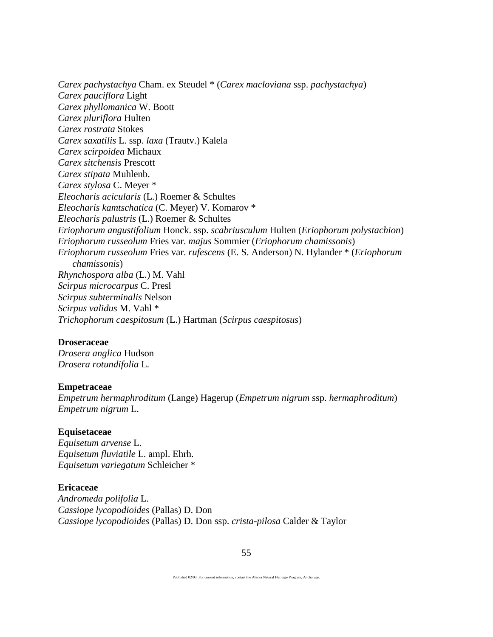*Carex pachystachya* Cham. ex Steudel \* (*Carex macloviana* ssp. *pachystachya*) *Carex pauciflora* Light *Carex phyllomanica* W. Boott *Carex pluriflora* Hulten *Carex rostrata* Stokes *Carex saxatilis* L. ssp. *laxa* (Trautv.) Kalela *Carex scirpoidea* Michaux *Carex sitchensis* Prescott *Carex stipata* Muhlenb. *Carex stylosa* C. Meyer \* *Eleocharis acicularis* (L.) Roemer & Schultes *Eleocharis kamtschatica* (C. Meyer) V. Komarov \* *Eleocharis palustris* (L.) Roemer & Schultes *Eriophorum angustifolium* Honck. ssp. *scabriusculum* Hulten (*Eriophorum polystachion*) *Eriophorum russeolum* Fries var. *majus* Sommier (*Eriophorum chamissonis*) *Eriophorum russeolum* Fries var. *rufescens* (E. S. Anderson) N. Hylander \* (*Eriophorum chamissonis*) *Rhynchospora alba* (L.) M. Vahl *Scirpus microcarpus* C. Presl *Scirpus subterminalis* Nelson *Scirpus validus* M. Vahl \* *Trichophorum caespitosum* (L.) Hartman (*Scirpus caespitosus*)

#### **Droseraceae**

*Drosera anglica* Hudson *Drosera rotundifolia* L.

#### **Empetraceae**

*Empetrum hermaphroditum* (Lange) Hagerup (*Empetrum nigrum* ssp. *hermaphroditum*) *Empetrum nigrum* L.

#### **Equisetaceae**

*Equisetum arvense* L. *Equisetum fluviatile* L. ampl. Ehrh. *Equisetum variegatum* Schleicher \*

#### **Ericaceae**

*Andromeda polifolia* L. *Cassiope lycopodioides* (Pallas) D. Don *Cassiope lycopodioides* (Pallas) D. Don ssp. *crista-pilosa* Calder & Taylor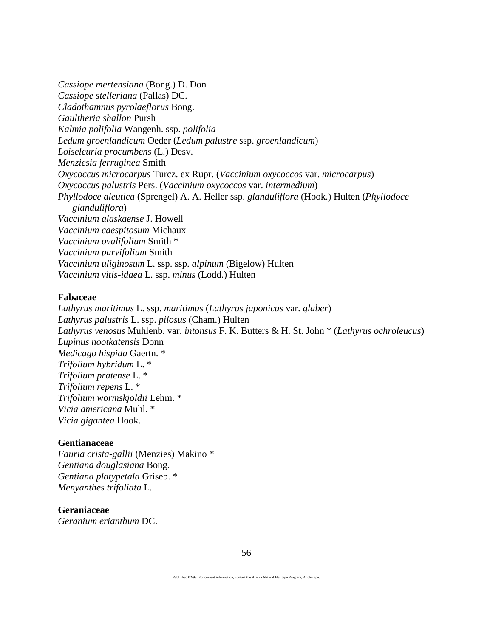*Cassiope mertensiana* (Bong.) D. Don *Cassiope stelleriana* (Pallas) DC. *Cladothamnus pyrolaeflorus* Bong. *Gaultheria shallon* Pursh *Kalmia polifolia* Wangenh. ssp. *polifolia Ledum groenlandicum* Oeder (*Ledum palustre* ssp. *groenlandicum*) *Loiseleuria procumbens* (L.) Desv. *Menziesia ferruginea* Smith *Oxycoccus microcarpus* Turcz. ex Rupr. (*Vaccinium oxycoccos* var. *microcarpus*) *Oxycoccus palustris* Pers. (*Vaccinium oxycoccos* var. *intermedium*) *Phyllodoce aleutica* (Sprengel) A. A. Heller ssp. *glanduliflora* (Hook.) Hulten (*Phyllodoce glanduliflora*) *Vaccinium alaskaense* J. Howell *Vaccinium caespitosum* Michaux *Vaccinium ovalifolium* Smith \* *Vaccinium parvifolium* Smith *Vaccinium uliginosum* L. ssp. ssp. *alpinum* (Bigelow) Hulten *Vaccinium vitis-idaea* L. ssp. *minus* (Lodd.) Hulten

#### **Fabaceae**

*Lathyrus maritimus* L. ssp. *maritimus* (*Lathyrus japonicus* var. *glaber*) *Lathyrus palustris* L. ssp. *pilosus* (Cham.) Hulten *Lathyrus venosus* Muhlenb. var. *intonsus* F. K. Butters & H. St. John \* (*Lathyrus ochroleucus*) *Lupinus nootkatensis* Donn *Medicago hispida* Gaertn. \* *Trifolium hybridum* L. \* *Trifolium pratense* L. \* *Trifolium repens* L. \* *Trifolium wormskjoldii* Lehm. \* *Vicia americana* Muhl. \* *Vicia gigantea* Hook.

### **Gentianaceae**

*Fauria crista-gallii* (Menzies) Makino \* *Gentiana douglasiana* Bong. *Gentiana platypetala* Griseb. \* *Menyanthes trifoliata* L.

#### **Geraniaceae**

*Geranium erianthum* DC.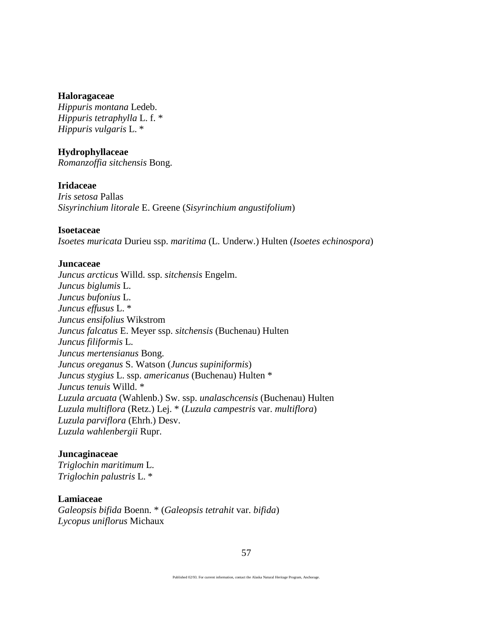#### **Haloragaceae**

*Hippuris montana* Ledeb. *Hippuris tetraphylla* L. f. \* *Hippuris vulgaris* L. \*

### **Hydrophyllaceae**

*Romanzoffia sitchensis* Bong.

#### **Iridaceae**

*Iris setosa* Pallas *Sisyrinchium litorale* E. Greene (*Sisyrinchium angustifolium*)

# **Isoetaceae**

*Isoetes muricata* Durieu ssp. *maritima* (L. Underw.) Hulten (*Isoetes echinospora*)

#### **Juncaceae**

*Juncus arcticus* Willd. ssp. *sitchensis* Engelm. *Juncus biglumis* L. *Juncus bufonius* L. *Juncus effusus* L. \* *Juncus ensifolius* Wikstrom *Juncus falcatus* E. Meyer ssp. *sitchensis* (Buchenau) Hulten *Juncus filiformis* L. *Juncus mertensianus* Bong. *Juncus oreganus* S. Watson (*Juncus supiniformis*) *Juncus stygius* L. ssp. *americanus* (Buchenau) Hulten \* *Juncus tenuis* Willd. \* *Luzula arcuata* (Wahlenb.) Sw. ssp. *unalaschcensis* (Buchenau) Hulten *Luzula multiflora* (Retz.) Lej. \* (*Luzula campestris* var. *multiflora*) *Luzula parviflora* (Ehrh.) Desv. *Luzula wahlenbergii* Rupr.

### **Juncaginaceae**

*Triglochin maritimum* L. *Triglochin palustris* L. \*

#### **Lamiaceae**

*Galeopsis bifida* Boenn. \* (*Galeopsis tetrahit* var. *bifida*) *Lycopus uniflorus* Michaux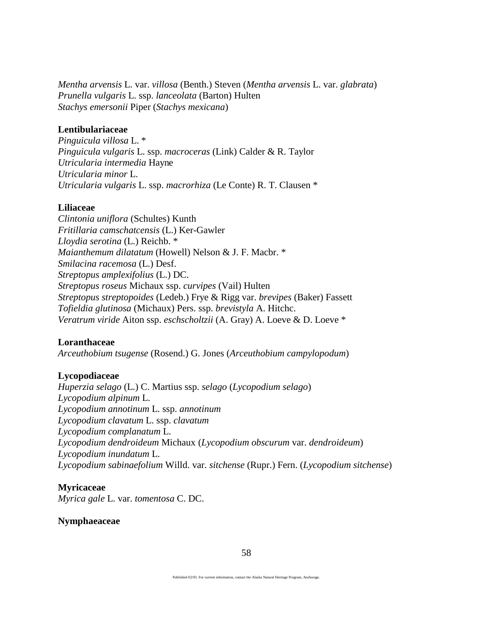*Mentha arvensis* L. var. *villosa* (Benth.) Steven (*Mentha arvensis* L. var. *glabrata*) *Prunella vulgaris* L. ssp. *lanceolata* (Barton) Hulten *Stachys emersonii* Piper (*Stachys mexicana*)

# **Lentibulariaceae**

*Pinguicula villosa* L. \* *Pinguicula vulgaris* L. ssp. *macroceras* (Link) Calder & R. Taylor *Utricularia intermedia* Hayne *Utricularia minor* L. *Utricularia vulgaris* L. ssp. *macrorhiza* (Le Conte) R. T. Clausen \*

# **Liliaceae**

*Clintonia uniflora* (Schultes) Kunth *Fritillaria camschatcensis* (L.) Ker-Gawler *Lloydia serotina* (L.) Reichb. \* *Maianthemum dilatatum* (Howell) Nelson & J. F. Macbr. \* *Smilacina racemosa* (L.) Desf. *Streptopus amplexifolius* (L.) DC. *Streptopus roseus* Michaux ssp. *curvipes* (Vail) Hulten *Streptopus streptopoides* (Ledeb.) Frye & Rigg var. *brevipes* (Baker) Fassett *Tofieldia glutinosa* (Michaux) Pers. ssp. *brevistyla* A. Hitchc. *Veratrum viride* Aiton ssp. *eschscholtzii* (A. Gray) A. Loeve & D. Loeve \*

# **Loranthaceae**

*Arceuthobium tsugense* (Rosend.) G. Jones (*Arceuthobium campylopodum*)

# **Lycopodiaceae**

*Huperzia selago* (L.) C. Martius ssp. *selago* (*Lycopodium selago*) *Lycopodium alpinum* L. *Lycopodium annotinum* L. ssp. *annotinum Lycopodium clavatum* L. ssp. *clavatum Lycopodium complanatum* L. *Lycopodium dendroideum* Michaux (*Lycopodium obscurum* var. *dendroideum*) *Lycopodium inundatum* L. *Lycopodium sabinaefolium* Willd. var. *sitchense* (Rupr.) Fern. (*Lycopodium sitchense*)

# **Myricaceae**

*Myrica gale* L. var. *tomentosa* C. DC.

### **Nymphaeaceae**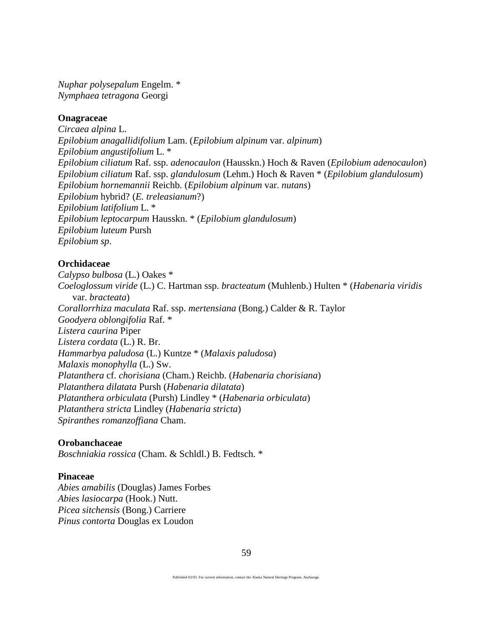*Nuphar polysepalum* Engelm. \* *Nymphaea tetragona* Georgi

# **Onagraceae**

*Circaea alpina* L. *Epilobium anagallidifolium* Lam. (*Epilobium alpinum* var. *alpinum*) *Epilobium angustifolium* L. \* *Epilobium ciliatum* Raf. ssp. *adenocaulon* (Hausskn.) Hoch & Raven (*Epilobium adenocaulon*) *Epilobium ciliatum* Raf. ssp. *glandulosum* (Lehm.) Hoch & Raven \* (*Epilobium glandulosum*) *Epilobium hornemannii* Reichb. (*Epilobium alpinum* var. *nutans*) *Epilobium* hybrid? (*E. treleasianum*?) *Epilobium latifolium* L. \* *Epilobium leptocarpum* Hausskn. \* (*Epilobium glandulosum*) *Epilobium luteum* Pursh *Epilobium sp*.

# **Orchidaceae**

*Calypso bulbosa* (L.) Oakes \* *Coeloglossum viride* (L.) C. Hartman ssp. *bracteatum* (Muhlenb.) Hulten \* (*Habenaria viridis* var. *bracteata*) *Corallorrhiza maculata* Raf. ssp. *mertensiana* (Bong.) Calder & R. Taylor *Goodyera oblongifolia* Raf. \* *Listera caurina* Piper *Listera cordata* (L.) R. Br. *Hammarbya paludosa* (L.) Kuntze \* (*Malaxis paludosa*) *Malaxis monophylla* (L.) Sw. *Platanthera* cf. *chorisiana* (Cham.) Reichb. (*Habenaria chorisiana*) *Platanthera dilatata* Pursh (*Habenaria dilatata*) *Platanthera orbiculata* (Pursh) Lindley \* (*Habenaria orbiculata*) *Platanthera stricta* Lindley (*Habenaria stricta*) *Spiranthes romanzoffiana* Cham.

### **Orobanchaceae**

*Boschniakia rossica* (Cham. & Schldl.) B. Fedtsch. \*

### **Pinaceae**

*Abies amabilis* (Douglas) James Forbes *Abies lasiocarpa* (Hook.) Nutt. *Picea sitchensis* (Bong.) Carriere *Pinus contorta* Douglas ex Loudon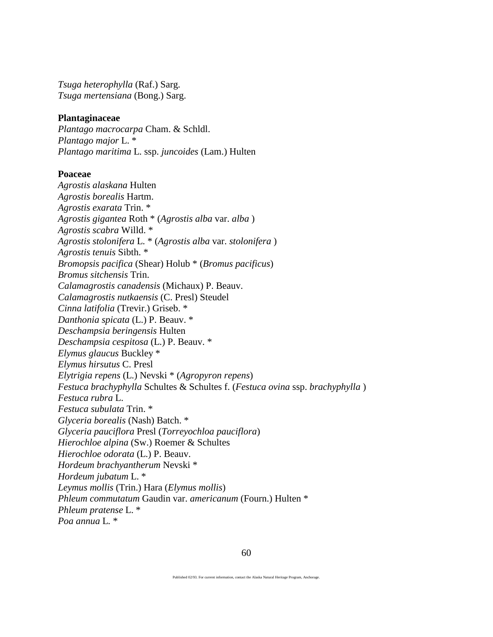*Tsuga heterophylla* (Raf.) Sarg. *Tsuga mertensiana* (Bong.) Sarg.

#### **Plantaginaceae**

*Plantago macrocarpa* Cham. & Schldl. *Plantago major* L. \* *Plantago maritima* L. ssp. *juncoides* (Lam.) Hulten

#### **Poaceae**

*Agrostis alaskana* Hulten *Agrostis borealis* Hartm. *Agrostis exarata* Trin. \* *Agrostis gigantea* Roth \* (*Agrostis alba* var. *alba* ) *Agrostis scabra* Willd. \* *Agrostis stolonifera* L. \* (*Agrostis alba* var. *stolonifera* ) *Agrostis tenuis* Sibth. \* *Bromopsis pacifica* (Shear) Holub \* (*Bromus pacificus*) *Bromus sitchensis* Trin. *Calamagrostis canadensis* (Michaux) P. Beauv. *Calamagrostis nutkaensis* (C. Presl) Steudel *Cinna latifolia* (Trevir.) Griseb. \* *Danthonia spicata* (L.) P. Beauv. \* *Deschampsia beringensis* Hulten *Deschampsia cespitosa* (L.) P. Beauv. \* *Elymus glaucus* Buckley \* *Elymus hirsutus* C. Presl *Elytrigia repens* (L.) Nevski \* (*Agropyron repens*) *Festuca brachyphylla* Schultes & Schultes f. (*Festuca ovina* ssp. *brachyphylla* ) *Festuca rubra* L. *Festuca subulata* Trin. \* *Glyceria borealis* (Nash) Batch. \* *Glyceria pauciflora* Presl (*Torreyochloa pauciflora*) *Hierochloe alpina* (Sw.) Roemer & Schultes *Hierochloe odorata* (L.) P. Beauv. *Hordeum brachyantherum* Nevski \* *Hordeum jubatum* L. \* *Leymus mollis* (Trin.) Hara (*Elymus mollis*) *Phleum commutatum* Gaudin var. *americanum* (Fourn.) Hulten \* *Phleum pratense* L. \* *Poa annua* L*.* \*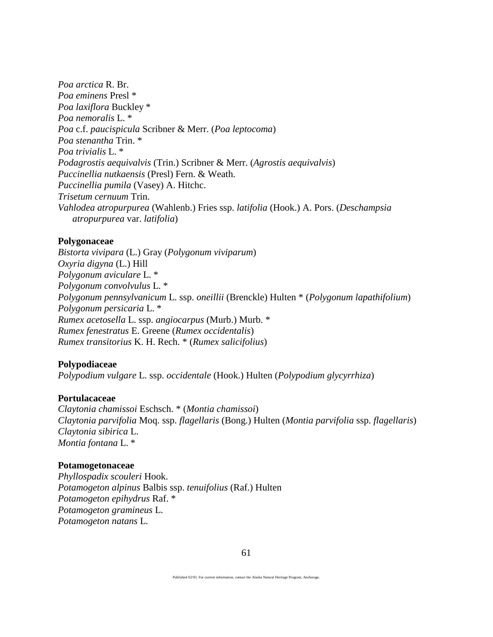*Poa arctica* R. Br. *Poa eminens* Presl \* *Poa laxiflora* Buckley \* *Poa nemoralis* L. \* *Poa* c.f. *paucispicula* Scribner & Merr. (*Poa leptocoma*) *Poa stenantha* Trin. \* *Poa trivialis* L. \* *Podagrostis aequivalvis* (Trin.) Scribner & Merr. (*Agrostis aequivalvis*) *Puccinellia nutkaensis* (Presl) Fern. & Weath. *Puccinellia pumila* (Vasey) A. Hitchc. *Trisetum cernuum* Trin. *Vahlodea atropurpurea* (Wahlenb.) Fries ssp. *latifolia* (Hook.) A. Pors. (*Deschampsia atropurpurea* var. *latifolia*)

### **Polygonaceae**

*Bistorta vivipara* (L.) Gray (*Polygonum viviparum*) *Oxyria digyna* (L.) Hill *Polygonum aviculare* L. \* *Polygonum convolvulus* L. \* *Polygonum pennsylvanicum* L. ssp. *oneillii* (Brenckle) Hulten \* (*Polygonum lapathifolium*) *Polygonum persicaria* L. \* *Rumex acetosella* L. ssp. *angiocarpus* (Murb.) Murb. \* *Rumex fenestratus* E. Greene (*Rumex occidentalis*) *Rumex transitorius* K. H. Rech. \* (*Rumex salicifolius*)

# **Polypodiaceae**

*Polypodium vulgare* L. ssp. *occidentale* (Hook.) Hulten (*Polypodium glycyrrhiza*)

# **Portulacaceae**

*Claytonia chamissoi* Eschsch. \* (*Montia chamissoi*) *Claytonia parvifolia* Moq. ssp. *flagellaris* (Bong.) Hulten (*Montia parvifolia* ssp. *flagellaris*) *Claytonia sibirica* L. *Montia fontana* L. \*

### **Potamogetonaceae**

*Phyllospadix scouleri* Hook. *Potamogeton alpinus* Balbis ssp. *tenuifolius* (Raf.) Hulten *Potamogeton epihydrus* Raf. \* *Potamogeton gramineus* L. *Potamogeton natans* L.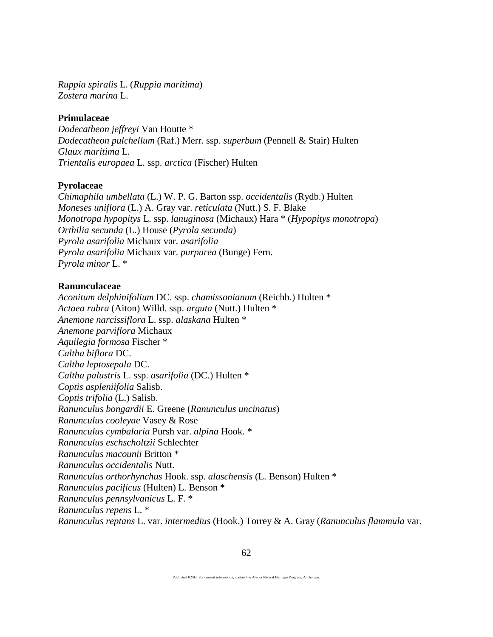*Ruppia spiralis* L. (*Ruppia maritima*) *Zostera marina* L.

# **Primulaceae**

*Dodecatheon jeffreyi* Van Houtte \* *Dodecatheon pulchellum* (Raf.) Merr. ssp. *superbum* (Pennell & Stair) Hulten *Glaux maritima* L. *Trientalis europaea* L. ssp. *arctica* (Fischer) Hulten

# **Pyrolaceae**

*Chimaphila umbellata* (L.) W. P. G. Barton ssp. *occidentalis* (Rydb.) Hulten *Moneses uniflora* (L.) A. Gray var. *reticulata* (Nutt.) S. F. Blake *Monotropa hypopitys* L. ssp. *lanuginosa* (Michaux) Hara \* (*Hypopitys monotropa*) *Orthilia secunda* (L.) House (*Pyrola secunda*) *Pyrola asarifolia* Michaux var. *asarifolia Pyrola asarifolia* Michaux var. *purpurea* (Bunge) Fern. *Pyrola minor* L. \*

# **Ranunculaceae**

*Aconitum delphinifolium* DC. ssp. *chamissonianum* (Reichb.) Hulten \* *Actaea rubra* (Aiton) Willd. ssp. *arguta* (Nutt.) Hulten \* *Anemone narcissiflora* L. ssp. *alaskana* Hulten \* *Anemone parviflora* Michaux *Aquilegia formosa* Fischer \* *Caltha biflora* DC. *Caltha leptosepala* DC. *Caltha palustris* L. ssp. *asarifolia* (DC.) Hulten \* *Coptis aspleniifolia* Salisb. *Coptis trifolia* (L.) Salisb. *Ranunculus bongardii* E. Greene (*Ranunculus uncinatus*) *Ranunculus cooleyae* Vasey & Rose *Ranunculus cymbalaria* Pursh var. *alpina* Hook. \* *Ranunculus eschscholtzii* Schlechter *Ranunculus macounii* Britton \* *Ranunculus occidentalis* Nutt. *Ranunculus orthorhynchus* Hook. ssp. *alaschensis* (L. Benson) Hulten \* *Ranunculus pacificus* (Hulten) L. Benson \* *Ranunculus pennsylvanicus* L. F. \* *Ranunculus repens* L. \* *Ranunculus reptans* L. var. *intermedius* (Hook.) Torrey & A. Gray (*Ranunculus flammula* var.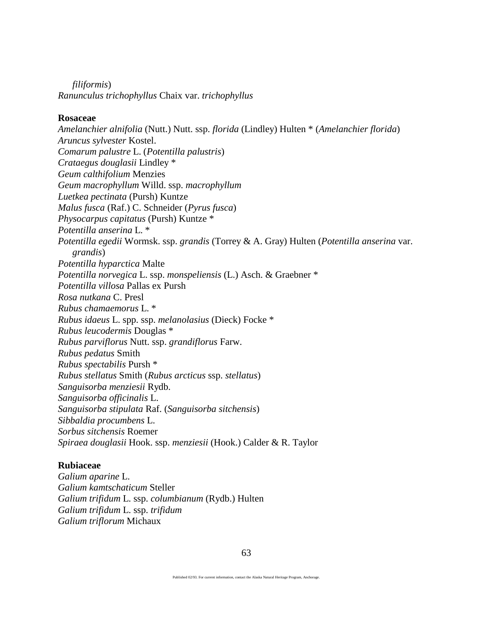*filiformis*) *Ranunculus trichophyllus* Chaix var. *trichophyllus*

### **Rosaceae**

*Amelanchier alnifolia* (Nutt.) Nutt. ssp. *florida* (Lindley) Hulten \* (*Amelanchier florida*) *Aruncus sylvester* Kostel. *Comarum palustre* L. (*Potentilla palustris*) *Crataegus douglasii* Lindley \* *Geum calthifolium* Menzies *Geum macrophyllum* Willd. ssp. *macrophyllum Luetkea pectinata* (Pursh) Kuntze *Malus fusca* (Raf.) C. Schneider (*Pyrus fusca*) *Physocarpus capitatus* (Pursh) Kuntze \* *Potentilla anserina* L. \* *Potentilla egedii* Wormsk. ssp. *grandis* (Torrey & A. Gray) Hulten (*Potentilla anserina* var. *grandis*) *Potentilla hyparctica* Malte *Potentilla norvegica* L. ssp. *monspeliensis* (L.) Asch. & Graebner \* *Potentilla villosa* Pallas ex Pursh *Rosa nutkana* C. Presl *Rubus chamaemorus* L. \* *Rubus idaeus* L. spp. ssp. *melanolasius* (Dieck) Focke \* *Rubus leucodermis* Douglas \* *Rubus parviflorus* Nutt. ssp. *grandiflorus* Farw. *Rubus pedatus* Smith *Rubus spectabilis* Pursh \* *Rubus stellatus* Smith (*Rubus arcticus* ssp. *stellatus*) *Sanguisorba menziesii* Rydb. *Sanguisorba officinalis* L. *Sanguisorba stipulata* Raf. (*Sanguisorba sitchensis*) *Sibbaldia procumbens* L. *Sorbus sitchensis* Roemer *Spiraea douglasii* Hook. ssp. *menziesii* (Hook.) Calder & R. Taylor

### **Rubiaceae**

*Galium aparine* L. *Galium kamtschaticum* Steller *Galium trifidum* L. ssp. *columbianum* (Rydb.) Hulten *Galium trifidum* L. ssp. *trifidum Galium triflorum* Michaux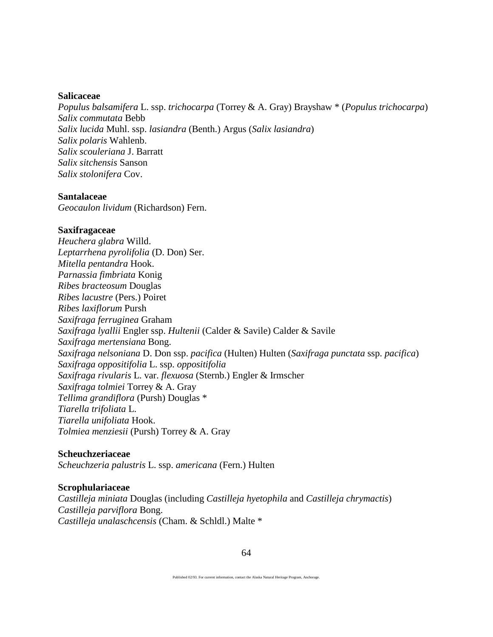#### **Salicaceae**

*Populus balsamifera* L. ssp. *trichocarpa* (Torrey & A. Gray) Brayshaw \* (*Populus trichocarpa*) *Salix commutata* Bebb *Salix lucida* Muhl. ssp. *lasiandra* (Benth.) Argus (*Salix lasiandra*) *Salix polaris* Wahlenb. *Salix scouleriana* J. Barratt *Salix sitchensis* Sanson *Salix stolonifera* Cov.

#### **Santalaceae**

*Geocaulon lividum* (Richardson) Fern.

#### **Saxifragaceae**

*Heuchera glabra* Willd. *Leptarrhena pyrolifolia* (D. Don) Ser. *Mitella pentandra* Hook. *Parnassia fimbriata* Konig *Ribes bracteosum* Douglas *Ribes lacustre* (Pers.) Poiret *Ribes laxiflorum* Pursh *Saxifraga ferruginea* Graham *Saxifraga lyallii* Engler ssp. *Hultenii* (Calder & Savile) Calder & Savile *Saxifraga mertensiana* Bong. *Saxifraga nelsoniana* D. Don ssp. *pacifica* (Hulten) Hulten (*Saxifraga punctata* ssp. *pacifica*) *Saxifraga oppositifolia* L. ssp. *oppositifolia Saxifraga rivularis* L. var. *flexuosa* (Sternb.) Engler & Irmscher *Saxifraga tolmiei* Torrey & A. Gray *Tellima grandiflora* (Pursh) Douglas \* *Tiarella trifoliata* L. *Tiarella unifoliata* Hook. *Tolmiea menziesii* (Pursh) Torrey & A. Gray

#### **Scheuchzeriaceae**

*Scheuchzeria palustris* L. ssp. *americana* (Fern.) Hulten

#### **Scrophulariaceae**

*Castilleja miniata* Douglas (including *Castilleja hyetophila* and *Castilleja chrymactis*) *Castilleja parviflora* Bong. *Castilleja unalaschcensis* (Cham. & Schldl.) Malte \*

Published 02/93. For current information, contact the Alaska Natural Heritage Program, Anchorage.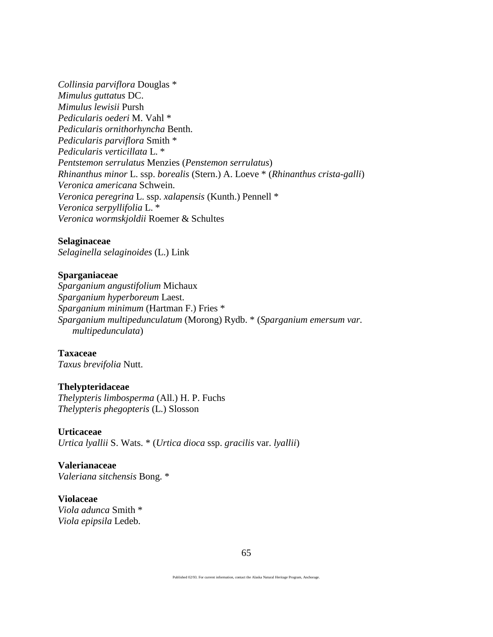*Collinsia parviflora* Douglas \* *Mimulus guttatus* DC. *Mimulus lewisii* Pursh *Pedicularis oederi* M. Vahl \* *Pedicularis ornithorhyncha* Benth. *Pedicularis parviflora* Smith \* *Pedicularis verticillata* L. \* *Pentstemon serrulatus* Menzies (*Penstemon serrulatus*) *Rhinanthus minor* L. ssp. *borealis* (Stern.) A. Loeve \* (*Rhinanthus crista-galli*) *Veronica americana* Schwein. *Veronica peregrina* L. ssp. *xalapensis* (Kunth.) Pennell \* *Veronica serpyllifolia* L. \* *Veronica wormskjoldii* Roemer & Schultes

#### **Selaginaceae**

*Selaginella selaginoides* (L.) Link

# **Sparganiaceae**

*Sparganium angustifolium* Michaux *Sparganium hyperboreum* Laest. *Sparganium minimum* (Hartman F.) Fries \* *Sparganium multipedunculatum* (Morong) Rydb. \* (*Sparganium emersum var. multipedunculata*)

**Taxaceae** *Taxus brevifolia* Nutt.

#### **Thelypteridaceae**

*Thelypteris limbosperma* (All.) H. P. Fuchs *Thelypteris phegopteris* (L.) Slosson

#### **Urticaceae**

*Urtica lyallii* S. Wats. \* (*Urtica dioca* ssp. *gracilis* var. *lyallii*)

**Valerianaceae** *Valeriana sitchensis* Bong. \*

**Violaceae** *Viola adunca* Smith \* *Viola epipsila* Ledeb.